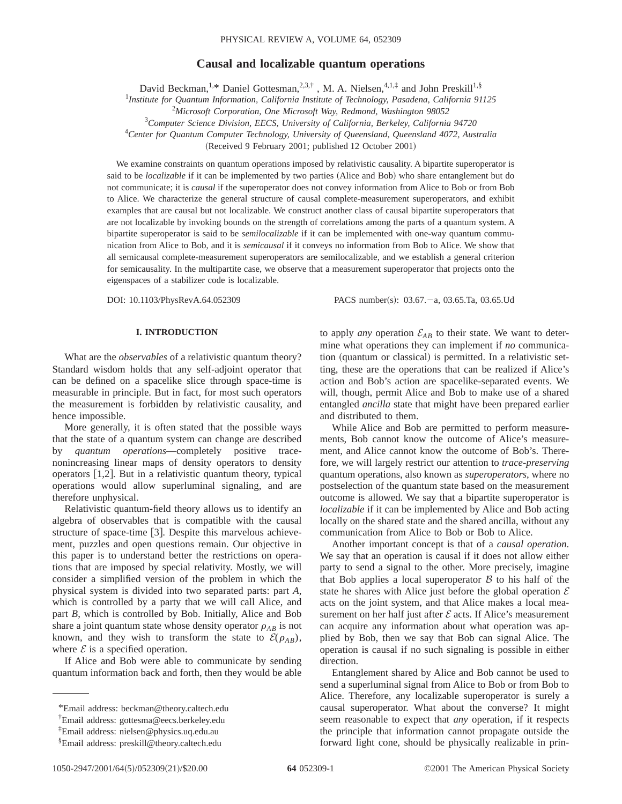# **Causal and localizable quantum operations**

David Beckman,<sup>1,\*</sup> Daniel Gottesman,<sup>2,3,†</sup>, M. A. Nielsen,<sup>4,1,‡</sup> and John Preskill<sup>1,§</sup>

1 *Institute for Quantum Information, California Institute of Technology, Pasadena, California 91125*

2 *Microsoft Corporation, One Microsoft Way, Redmond, Washington 98052*

3 *Computer Science Division, EECS, University of California, Berkeley, California 94720*

4 *Center for Quantum Computer Technology, University of Queensland, Queensland 4072, Australia*

(Received 9 February 2001; published 12 October 2001)

We examine constraints on quantum operations imposed by relativistic causality. A bipartite superoperator is said to be *localizable* if it can be implemented by two parties (Alice and Bob) who share entanglement but do not communicate; it is *causal* if the superoperator does not convey information from Alice to Bob or from Bob to Alice. We characterize the general structure of causal complete-measurement superoperators, and exhibit examples that are causal but not localizable. We construct another class of causal bipartite superoperators that are not localizable by invoking bounds on the strength of correlations among the parts of a quantum system. A bipartite superoperator is said to be *semilocalizable* if it can be implemented with one-way quantum communication from Alice to Bob, and it is *semicausal* if it conveys no information from Bob to Alice. We show that all semicausal complete-measurement superoperators are semilocalizable, and we establish a general criterion for semicausality. In the multipartite case, we observe that a measurement superoperator that projects onto the eigenspaces of a stabilizer code is localizable.

DOI: 10.1103/PhysRevA.64.052309 PACS number(s): 03.67. - a, 03.65.Ta, 03.65.Ud

## **I. INTRODUCTION**

What are the *observables* of a relativistic quantum theory? Standard wisdom holds that any self-adjoint operator that can be defined on a spacelike slice through space-time is measurable in principle. But in fact, for most such operators the measurement is forbidden by relativistic causality, and hence impossible.

More generally, it is often stated that the possible ways that the state of a quantum system can change are described by *quantum operations*—completely positive tracenonincreasing linear maps of density operators to density operators  $[1,2]$ . But in a relativistic quantum theory, typical operations would allow superluminal signaling, and are therefore unphysical.

Relativistic quantum-field theory allows us to identify an algebra of observables that is compatible with the causal structure of space-time  $[3]$ . Despite this marvelous achievement, puzzles and open questions remain. Our objective in this paper is to understand better the restrictions on operations that are imposed by special relativity. Mostly, we will consider a simplified version of the problem in which the physical system is divided into two separated parts: part *A*, which is controlled by a party that we will call Alice, and part *B*, which is controlled by Bob. Initially, Alice and Bob share a joint quantum state whose density operator  $\rho_{AB}$  is not known, and they wish to transform the state to  $\mathcal{E}(\rho_{AB})$ , where  $\mathcal E$  is a specified operation.

If Alice and Bob were able to communicate by sending quantum information back and forth, then they would be able to apply *any* operation  $\mathcal{E}_{AB}$  to their state. We want to determine what operations they can implement if *no* communication (quantum or classical) is permitted. In a relativistic setting, these are the operations that can be realized if Alice's action and Bob's action are spacelike-separated events. We will, though, permit Alice and Bob to make use of a shared entangled *ancilla* state that might have been prepared earlier and distributed to them.

While Alice and Bob are permitted to perform measurements, Bob cannot know the outcome of Alice's measurement, and Alice cannot know the outcome of Bob's. Therefore, we will largely restrict our attention to *trace-preserving* quantum operations, also known as *superoperators*, where no postselection of the quantum state based on the measurement outcome is allowed. We say that a bipartite superoperator is *localizable* if it can be implemented by Alice and Bob acting locally on the shared state and the shared ancilla, without any communication from Alice to Bob or Bob to Alice.

Another important concept is that of a *causal operation*. We say that an operation is causal if it does not allow either party to send a signal to the other. More precisely, imagine that Bob applies a local superoperator  $B$  to his half of the state he shares with Alice just before the global operation  $\mathcal E$ acts on the joint system, and that Alice makes a local measurement on her half just after  $E$  acts. If Alice's measurement can acquire any information about what operation was applied by Bob, then we say that Bob can signal Alice. The operation is causal if no such signaling is possible in either direction.

Entanglement shared by Alice and Bob cannot be used to send a superluminal signal from Alice to Bob or from Bob to Alice. Therefore, any localizable superoperator is surely a causal superoperator. What about the converse? It might seem reasonable to expect that *any* operation, if it respects the principle that information cannot propagate outside the forward light cone, should be physically realizable in prin-

<sup>\*</sup>Email address: beckman@theory.caltech.edu

<sup>†</sup> Email address: gottesma@eecs.berkeley.edu

<sup>‡</sup> Email address: nielsen@physics.uq.edu.au

<sup>§</sup> Email address: preskill@theory.caltech.edu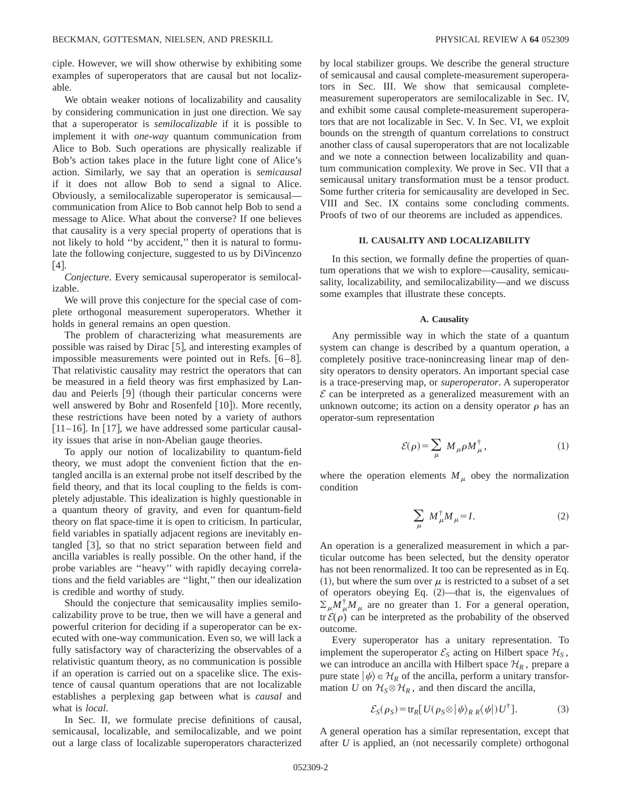ciple. However, we will show otherwise by exhibiting some examples of superoperators that are causal but not localizable.

We obtain weaker notions of localizability and causality by considering communication in just one direction. We say that a superoperator is *semilocalizable* if it is possible to implement it with *one-way* quantum communication from Alice to Bob. Such operations are physically realizable if Bob's action takes place in the future light cone of Alice's action. Similarly, we say that an operation is *semicausal* if it does not allow Bob to send a signal to Alice. Obviously, a semilocalizable superoperator is semicausal communication from Alice to Bob cannot help Bob to send a message to Alice. What about the converse? If one believes that causality is a very special property of operations that is not likely to hold ''by accident,'' then it is natural to formulate the following conjecture, suggested to us by DiVincenzo  $[4]$ .

*Conjecture*. Every semicausal superoperator is semilocalizable.

We will prove this conjecture for the special case of complete orthogonal measurement superoperators. Whether it holds in general remains an open question.

The problem of characterizing what measurements are possible was raised by Dirac  $[5]$ , and interesting examples of impossible measurements were pointed out in Refs.  $[6-8]$ . That relativistic causality may restrict the operators that can be measured in a field theory was first emphasized by Landau and Peierls [9] (though their particular concerns were well answered by Bohr and Rosenfeld [10]). More recently, these restrictions have been noted by a variety of authors  $[11–16]$ . In  $[17]$ , we have addressed some particular causality issues that arise in non-Abelian gauge theories.

To apply our notion of localizability to quantum-field theory, we must adopt the convenient fiction that the entangled ancilla is an external probe not itself described by the field theory, and that its local coupling to the fields is completely adjustable. This idealization is highly questionable in a quantum theory of gravity, and even for quantum-field theory on flat space-time it is open to criticism. In particular, field variables in spatially adjacent regions are inevitably entangled  $[3]$ , so that no strict separation between field and ancilla variables is really possible. On the other hand, if the probe variables are ''heavy'' with rapidly decaying correlations and the field variables are ''light,'' then our idealization is credible and worthy of study.

Should the conjecture that semicausality implies semilocalizability prove to be true, then we will have a general and powerful criterion for deciding if a superoperator can be executed with one-way communication. Even so, we will lack a fully satisfactory way of characterizing the observables of a relativistic quantum theory, as no communication is possible if an operation is carried out on a spacelike slice. The existence of causal quantum operations that are not localizable establishes a perplexing gap between what is *causal* and what is *local*.

In Sec. II, we formulate precise definitions of causal, semicausal, localizable, and semilocalizable, and we point out a large class of localizable superoperators characterized by local stabilizer groups. We describe the general structure of semicausal and causal complete-measurement superoperators in Sec. III. We show that semicausal completemeasurement superoperators are semilocalizable in Sec. IV, and exhibit some causal complete-measurement superoperators that are not localizable in Sec. V. In Sec. VI, we exploit bounds on the strength of quantum correlations to construct another class of causal superoperators that are not localizable and we note a connection between localizability and quantum communication complexity. We prove in Sec. VII that a semicausal unitary transformation must be a tensor product. Some further criteria for semicausality are developed in Sec. VIII and Sec. IX contains some concluding comments. Proofs of two of our theorems are included as appendices.

## **II. CAUSALITY AND LOCALIZABILITY**

In this section, we formally define the properties of quantum operations that we wish to explore—causality, semicausality, localizability, and semilocalizability—and we discuss some examples that illustrate these concepts.

### **A. Causality**

Any permissible way in which the state of a quantum system can change is described by a quantum operation, a completely positive trace-nonincreasing linear map of density operators to density operators. An important special case is a trace-preserving map, or *superoperator*. A superoperator  $\mathcal E$  can be interpreted as a generalized measurement with an unknown outcome; its action on a density operator  $\rho$  has an operator-sum representation

$$
\mathcal{E}(\rho) = \sum_{\mu} M_{\mu} \rho M_{\mu}^{\dagger}, \qquad (1)
$$

where the operation elements  $M<sub>u</sub>$  obey the normalization condition

$$
\sum_{\mu} M^{\dagger}_{\mu} M_{\mu} = I. \tag{2}
$$

An operation is a generalized measurement in which a particular outcome has been selected, but the density operator has not been renormalized. It too can be represented as in Eq.  $(1)$ , but where the sum over  $\mu$  is restricted to a subset of a set of operators obeying Eq.  $(2)$ —that is, the eigenvalues of  $\sum_{\mu} M_{\mu}^{\dagger} M_{\mu}$  are no greater than 1. For a general operation, tr  $\mathcal{E}(\rho)$  can be interpreted as the probability of the observed outcome.

Every superoperator has a unitary representation. To implement the superoperator  $\mathcal{E}_S$  acting on Hilbert space  $\mathcal{H}_S$ , we can introduce an ancilla with Hilbert space  $\mathcal{H}_R$ , prepare a pure state  $|\psi\rangle \in \mathcal{H}_R$  of the ancilla, perform a unitary transformation *U* on  $H_S \otimes H_R$ , and then discard the ancilla,

$$
\mathcal{E}_S(\rho_S) = \text{tr}_R[U(\rho_S \otimes |\psi\rangle_{RR} \langle \psi|) U^{\dagger}]. \tag{3}
$$

A general operation has a similar representation, except that after  $U$  is applied, an (not necessarily complete) orthogonal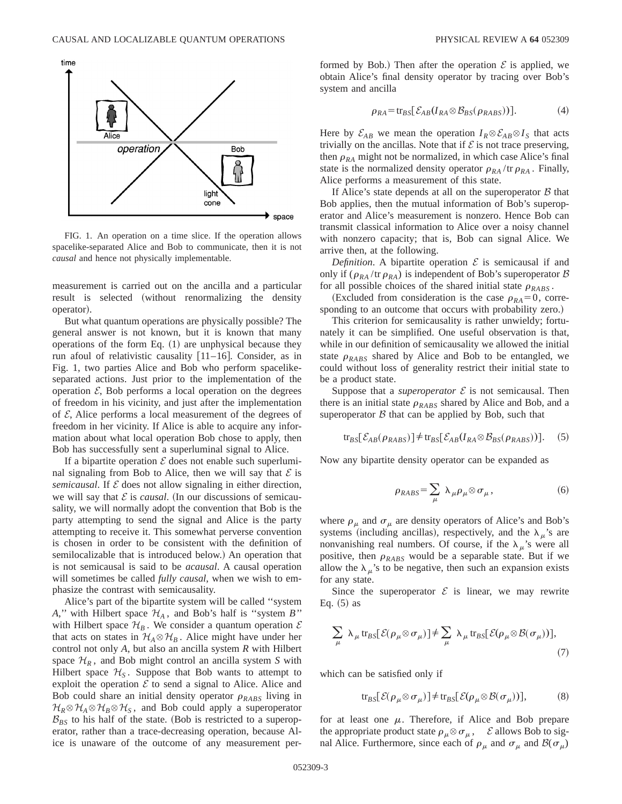

FIG. 1. An operation on a time slice. If the operation allows spacelike-separated Alice and Bob to communicate, then it is not *causal* and hence not physically implementable.

measurement is carried out on the ancilla and a particular result is selected (without renormalizing the density operator).

But what quantum operations are physically possible? The general answer is not known, but it is known that many operations of the form Eq.  $(1)$  are unphysical because they run afoul of relativistic causality  $[11–16]$ . Consider, as in Fig. 1, two parties Alice and Bob who perform spacelikeseparated actions. Just prior to the implementation of the operation  $\mathcal{E}$ , Bob performs a local operation on the degrees of freedom in his vicinity, and just after the implementation of  $\mathcal E$ , Alice performs a local measurement of the degrees of freedom in her vicinity. If Alice is able to acquire any information about what local operation Bob chose to apply, then Bob has successfully sent a superluminal signal to Alice.

If a bipartite operation  $\mathcal E$  does not enable such superluminal signaling from Bob to Alice, then we will say that  $\mathcal E$  is *semicausal*. If  $\mathcal E$  does not allow signaling in either direction, we will say that  $\mathcal E$  is *causal*. (In our discussions of semicausality, we will normally adopt the convention that Bob is the party attempting to send the signal and Alice is the party attempting to receive it. This somewhat perverse convention is chosen in order to be consistent with the definition of semilocalizable that is introduced below.) An operation that is not semicausal is said to be *acausal*. A causal operation will sometimes be called *fully causal*, when we wish to emphasize the contrast with semicausality.

Alice's part of the bipartite system will be called ''system *A*," with Hilbert space  $\mathcal{H}_A$ , and Bob's half is "system *B*" with Hilbert space  $\mathcal{H}_B$ . We consider a quantum operation  $\mathcal E$ that acts on states in  $H_A \otimes H_B$ . Alice might have under her control not only *A*, but also an ancilla system *R* with Hilbert space  $\mathcal{H}_R$ , and Bob might control an ancilla system *S* with Hilbert space  $\mathcal{H}_s$ . Suppose that Bob wants to attempt to exploit the operation  $\mathcal E$  to send a signal to Alice. Alice and Bob could share an initial density operator  $\rho_{RABS}$  living in  $\mathcal{H}_R \otimes \mathcal{H}_A \otimes \mathcal{H}_B \otimes \mathcal{H}_S$ , and Bob could apply a superoperator  $\mathcal{B}_{BS}$  to his half of the state. (Bob is restricted to a superoperator, rather than a trace-decreasing operation, because Alice is unaware of the outcome of any measurement performed by Bob.) Then after the operation  $\mathcal E$  is applied, we obtain Alice's final density operator by tracing over Bob's system and ancilla

$$
\rho_{RA} = \text{tr}_{BS}[\mathcal{E}_{AB}(I_{RA} \otimes \mathcal{B}_{BS}(\rho_{RABS})))]. \tag{4}
$$

Here by  $\mathcal{E}_{AB}$  we mean the operation  $I_R \otimes \mathcal{E}_{AB} \otimes I_S$  that acts trivially on the ancillas. Note that if  $\mathcal E$  is not trace preserving, then  $\rho_{RA}$  might not be normalized, in which case Alice's final state is the normalized density operator  $\rho_{RA}$  /tr  $\rho_{RA}$ . Finally, Alice performs a measurement of this state.

If Alice's state depends at all on the superoperator  $\beta$  that Bob applies, then the mutual information of Bob's superoperator and Alice's measurement is nonzero. Hence Bob can transmit classical information to Alice over a noisy channel with nonzero capacity; that is, Bob can signal Alice. We arrive then, at the following.

*Definition*. A bipartite operation  $\mathcal E$  is semicausal if and only if  $(\rho_{RA}/\text{tr } \rho_{RA})$  is independent of Bob's superoperator B for all possible choices of the shared initial state  $\rho_{RABS}$ .

(Excluded from consideration is the case  $\rho_{RA} = 0$ , corresponding to an outcome that occurs with probability zero.)

This criterion for semicausality is rather unwieldy; fortunately it can be simplified. One useful observation is that, while in our definition of semicausality we allowed the initial state  $\rho_{RABS}$  shared by Alice and Bob to be entangled, we could without loss of generality restrict their initial state to be a product state.

Suppose that a *superoperator*  $\mathcal E$  is not semicausal. Then there is an initial state  $\rho_{RARS}$  shared by Alice and Bob, and a superoperator  $\beta$  that can be applied by Bob, such that

$$
\text{tr}_{BS}[\mathcal{E}_{AB}(\rho_{RABS})] \neq \text{tr}_{BS}[\mathcal{E}_{AB}(I_{RA} \otimes \mathcal{B}_{BS}(\rho_{RABS})))]. \quad (5)
$$

Now any bipartite density operator can be expanded as

$$
\rho_{RABS} = \sum_{\mu} \lambda_{\mu} \rho_{\mu} \otimes \sigma_{\mu}, \qquad (6)
$$

where  $\rho_{\mu}$  and  $\sigma_{\mu}$  are density operators of Alice's and Bob's systems (including ancillas), respectively, and the  $\lambda_{\mu}$ 's are nonvanishing real numbers. Of course, if the  $\lambda_{\mu}$ 's were all positive, then  $\rho_{RABS}$  would be a separable state. But if we allow the  $\lambda_{\mu}$ 's to be negative, then such an expansion exists for any state.

Since the superoperator  $\mathcal E$  is linear, we may rewrite Eq.  $(5)$  as

$$
\sum_{\mu} \lambda_{\mu} \text{tr}_{BS}[\mathcal{E}(\rho_{\mu} \otimes \sigma_{\mu})] \neq \sum_{\mu} \lambda_{\mu} \text{tr}_{BS}[\mathcal{E}(\rho_{\mu} \otimes \mathcal{B}(\sigma_{\mu}))],
$$
\n(7)

which can be satisfied only if

$$
\text{tr}_{BS}[\mathcal{E}(\rho_{\mu} \otimes \sigma_{\mu})] \neq \text{tr}_{BS}[\mathcal{E}(\rho_{\mu} \otimes \mathcal{B}(\sigma_{\mu}))],\tag{8}
$$

for at least one  $\mu$ . Therefore, if Alice and Bob prepare the appropriate product state  $\rho_\mu \otimes \sigma_\mu$ ,  $\mathcal E$  allows Bob to signal Alice. Furthermore, since each of  $\rho_{\mu}$  and  $\sigma_{\mu}$  and  $\mathcal{B}(\sigma_{\mu})$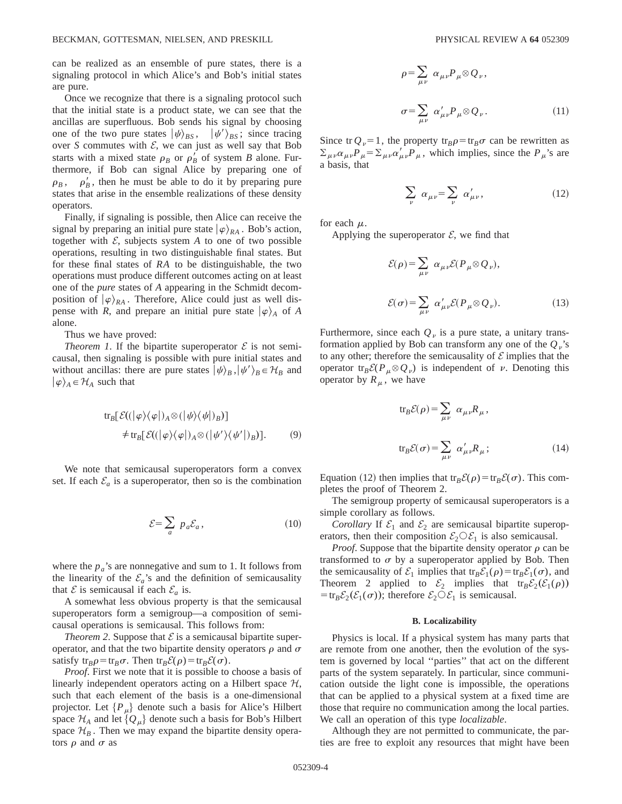can be realized as an ensemble of pure states, there is a signaling protocol in which Alice's and Bob's initial states are pure.

Once we recognize that there is a signaling protocol such that the initial state is a product state, we can see that the ancillas are superfluous. Bob sends his signal by choosing one of the two pure states  $|\psi\rangle_{BS}$ ,  $|\psi'\rangle_{BS}$ ; since tracing over *S* commutes with  $\mathcal{E}$ , we can just as well say that Bob starts with a mixed state  $\rho_B$  or  $\rho'_B$  of system *B* alone. Furthermore, if Bob can signal Alice by preparing one of  $\rho_B$ ,  $\rho'_B$ , then he must be able to do it by preparing pure states that arise in the ensemble realizations of these density operators.

Finally, if signaling is possible, then Alice can receive the signal by preparing an initial pure state  $|\varphi\rangle_{RA}$ . Bob's action, together with  $\mathcal{E}$ , subjects system  $A$  to one of two possible operations, resulting in two distinguishable final states. But for these final states of *RA* to be distinguishable, the two operations must produce different outcomes acting on at least one of the *pure* states of *A* appearing in the Schmidt decomposition of  $|\varphi\rangle_{RA}$ . Therefore, Alice could just as well dispense with *R*, and prepare an initial pure state  $|\varphi\rangle_A$  of *A* alone.

Thus we have proved:

*Theorem 1.* If the bipartite superoperator  $\mathcal E$  is not semicausal, then signaling is possible with pure initial states and without ancillas: there are pure states  $|\psi\rangle_B$ ,  $|\psi'\rangle_B \in \mathcal{H}_B$  and  $|\varphi\rangle_A \in \mathcal{H}_A$  such that

$$
tr_B[\mathcal{E}((|\varphi\rangle\langle\varphi|)_A \otimes (|\psi\rangle\langle\psi|)_B)]
$$
  

$$
\neq tr_B[\mathcal{E}((|\varphi\rangle\langle\varphi|)_A \otimes (|\psi'\rangle\langle\psi'|)_B)].
$$
 (9)

We note that semicausal superoperators form a convex set. If each  $\mathcal{E}_a$  is a superoperator, then so is the combination

$$
\mathcal{E} = \sum_{a} \ p_a \mathcal{E}_a, \tag{10}
$$

where the  $p_a$ 's are nonnegative and sum to 1. It follows from the linearity of the  $\mathcal{E}_a$ 's and the definition of semicausality that  $\mathcal E$  is semicausal if each  $\mathcal E_a$  is.

A somewhat less obvious property is that the semicausal superoperators form a semigroup—a composition of semicausal operations is semicausal. This follows from:

*Theorem 2.* Suppose that  $\mathcal E$  is a semicausal bipartite superoperator, and that the two bipartite density operators  $\rho$  and  $\sigma$ satisfy tr<sub>B</sub> $\rho = \text{tr}_B \sigma$ . Then tr<sub>B</sub> $\mathcal{E}(\rho) = \text{tr}_B \mathcal{E}(\sigma)$ .

*Proof*. First we note that it is possible to choose a basis of linearly independent operators acting on a Hilbert space  $H$ , such that each element of the basis is a one-dimensional projector. Let  $\{P_\mu\}$  denote such a basis for Alice's Hilbert space  $\mathcal{H}_A$  and let  $\{Q_\mu\}$  denote such a basis for Bob's Hilbert space  $\mathcal{H}_B$ . Then we may expand the bipartite density operators  $\rho$  and  $\sigma$  as

$$
\rho = \sum_{\mu\nu} \alpha_{\mu\nu} P_{\mu} \otimes Q_{\nu},
$$
  

$$
\sigma = \sum_{\mu\nu} \alpha'_{\mu\nu} P_{\mu} \otimes Q_{\nu}.
$$
 (11)

Since tr  $Q_v=1$ , the property tr<sub>B</sub> $\rho$ =tr<sub>B</sub> $\sigma$  can be rewritten as  $\sum_{\mu\nu} \alpha_{\mu\nu} P_{\mu} = \sum_{\mu\nu} \alpha'_{\mu\nu} P_{\mu}$ , which implies, since the  $P_{\mu}$ 's are a basis, that

$$
\sum_{\nu} \alpha_{\mu\nu} = \sum_{\nu} \alpha'_{\mu\nu}, \qquad (12)
$$

for each  $\mu$ .

Applying the superoperator  $\mathcal{E}$ , we find that

$$
\mathcal{E}(\rho) = \sum_{\mu\nu} \alpha_{\mu\nu} \mathcal{E}(P_{\mu} \otimes Q_{\nu}),
$$
  

$$
\mathcal{E}(\sigma) = \sum_{\mu\nu} \alpha'_{\mu\nu} \mathcal{E}(P_{\mu} \otimes Q_{\nu}).
$$
 (13)

Furthermore, since each  $Q<sub>v</sub>$  is a pure state, a unitary transformation applied by Bob can transform any one of the  $Q_v$ 's to any other; therefore the semicausality of  $\mathcal E$  implies that the operator  $tr_B \mathcal{E}(P_\mu \otimes Q_\nu)$  is independent of  $\nu$ . Denoting this operator by  $R_\mu$ , we have

$$
tr_B \mathcal{E}(\rho) = \sum_{\mu\nu} \alpha_{\mu\nu} R_{\mu},
$$
  

$$
tr_B \mathcal{E}(\sigma) = \sum_{\mu\nu} \alpha'_{\mu\nu} R_{\mu};
$$
 (14)

Equation (12) then implies that  $tr_B \mathcal{E}(\rho) = tr_B \mathcal{E}(\sigma)$ . This completes the proof of Theorem 2.

The semigroup property of semicausal superoperators is a simple corollary as follows.

*Corollary* If  $\mathcal{E}_1$  and  $\mathcal{E}_2$  are semicausal bipartite superoperators, then their composition  $\mathcal{E}_2 \mathcal{O} \mathcal{E}_1$  is also semicausal.

*Proof.* Suppose that the bipartite density operator  $\rho$  can be transformed to  $\sigma$  by a superoperator applied by Bob. Then the semicausality of  $\mathcal{E}_1$  implies that tr<sub>B</sub> $\mathcal{E}_1(\rho) = \text{tr}_B \mathcal{E}_1(\sigma)$ , and Theorem 2 applied to  $\mathcal{E}_2$  implies that tr<sub>B</sub> $\mathcal{E}_2(\mathcal{E}_1(\rho))$  $=$ tr<sub>B</sub>E<sub>2</sub>(E<sub>1</sub>( $\sigma$ )); therefore E<sub>2</sub>OE<sub>1</sub> is semicausal.

### **B. Localizability**

Physics is local. If a physical system has many parts that are remote from one another, then the evolution of the system is governed by local ''parties'' that act on the different parts of the system separately. In particular, since communication outside the light cone is impossible, the operations that can be applied to a physical system at a fixed time are those that require no communication among the local parties. We call an operation of this type *localizable*.

Although they are not permitted to communicate, the parties are free to exploit any resources that might have been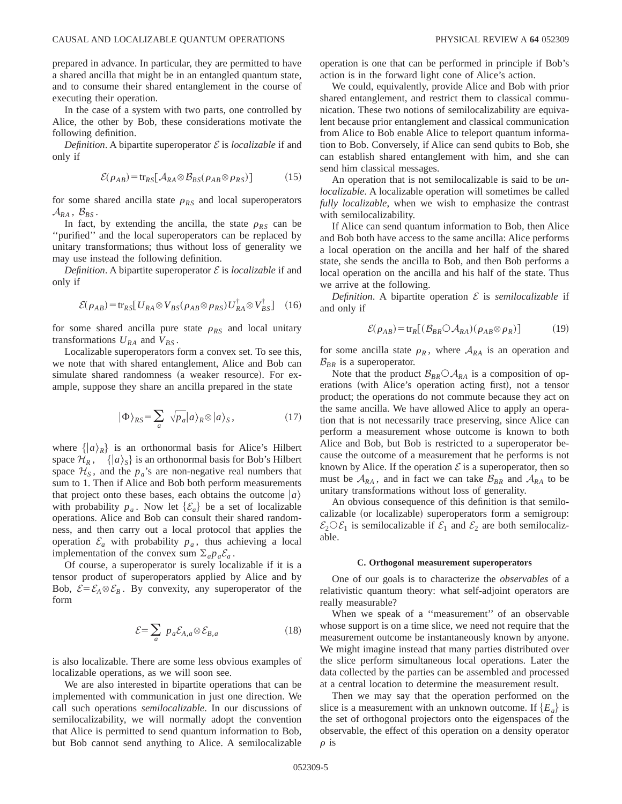prepared in advance. In particular, they are permitted to have a shared ancilla that might be in an entangled quantum state, and to consume their shared entanglement in the course of executing their operation.

In the case of a system with two parts, one controlled by Alice, the other by Bob, these considerations motivate the following definition.

*Definition*. A bipartite superoperator  $\mathcal E$  is *localizable* if and only if

$$
\mathcal{E}(\rho_{AB}) = \text{tr}_{RS}[\mathcal{A}_{RA} \otimes \mathcal{B}_{BS}(\rho_{AB} \otimes \rho_{RS})]
$$
(15)

for some shared ancilla state  $\rho_{RS}$  and local superoperators  $\mathcal{A}_{RA}$ ,  $\mathcal{B}_{BS}$ .

In fact, by extending the ancilla, the state  $\rho_{RS}$  can be ''purified'' and the local superoperators can be replaced by unitary transformations; thus without loss of generality we may use instead the following definition.

*Definition*. A bipartite superoperator  $\mathcal E$  is *localizable* if and only if

$$
\mathcal{E}(\rho_{AB}) = \text{tr}_{RS} \big[ U_{RA} \otimes V_{BS} (\rho_{AB} \otimes \rho_{RS}) U_{RA}^{\dagger} \otimes V_{BS}^{\dagger} \big] \tag{16}
$$

for some shared ancilla pure state  $\rho_{RS}$  and local unitary transformations  $U_{RA}$  and  $V_{BS}$ .

Localizable superoperators form a convex set. To see this, we note that with shared entanglement, Alice and Bob can simulate shared randomness (a weaker resource). For example, suppose they share an ancilla prepared in the state

$$
|\Phi\rangle_{RS} = \sum_{a} \sqrt{p_a} |a\rangle_R \otimes |a\rangle_S, \qquad (17)
$$

where  $\{|a\rangle_R\}$  is an orthonormal basis for Alice's Hilbert space  $\mathcal{H}_R$ ,  $\{ |a\rangle_S \}$  is an orthonormal basis for Bob's Hilbert space  $\mathcal{H}_s$ , and the  $p_a$ 's are non-negative real numbers that sum to 1. Then if Alice and Bob both perform measurements that project onto these bases, each obtains the outcome  $|a\rangle$ with probability  $p_a$ . Now let  $\{\mathcal{E}_a\}$  be a set of localizable operations. Alice and Bob can consult their shared randomness, and then carry out a local protocol that applies the operation  $\mathcal{E}_a$  with probability  $p_a$ , thus achieving a local implementation of the convex sum  $\Sigma_a p_a \mathcal{E}_a$ .

Of course, a superoperator is surely localizable if it is a tensor product of superoperators applied by Alice and by Bob,  $\mathcal{E} = \mathcal{E}_A \otimes \mathcal{E}_B$ . By convexity, any superoperator of the form

$$
\mathcal{E} = \sum_{a} p_a \mathcal{E}_{A,a} \otimes \mathcal{E}_{B,a} \tag{18}
$$

is also localizable. There are some less obvious examples of localizable operations, as we will soon see.

We are also interested in bipartite operations that can be implemented with communication in just one direction. We call such operations *semilocalizable*. In our discussions of semilocalizability, we will normally adopt the convention that Alice is permitted to send quantum information to Bob, but Bob cannot send anything to Alice. A semilocalizable operation is one that can be performed in principle if Bob's action is in the forward light cone of Alice's action.

We could, equivalently, provide Alice and Bob with prior shared entanglement, and restrict them to classical communication. These two notions of semilocalizability are equivalent because prior entanglement and classical communication from Alice to Bob enable Alice to teleport quantum information to Bob. Conversely, if Alice can send qubits to Bob, she can establish shared entanglement with him, and she can send him classical messages.

An operation that is not semilocalizable is said to be *unlocalizable*. A localizable operation will sometimes be called *fully localizable*, when we wish to emphasize the contrast with semilocalizability.

If Alice can send quantum information to Bob, then Alice and Bob both have access to the same ancilla: Alice performs a local operation on the ancilla and her half of the shared state, she sends the ancilla to Bob, and then Bob performs a local operation on the ancilla and his half of the state. Thus we arrive at the following.

*Definition*. A bipartite operation  $\mathcal E$  is *semilocalizable* if and only if

$$
\mathcal{E}(\rho_{AB}) = \text{tr}_R[(\mathcal{B}_{BR} \bigcirc \mathcal{A}_{RA})(\rho_{AB} \otimes \rho_R)] \tag{19}
$$

for some ancilla state  $\rho_R$ , where  $A_{RA}$  is an operation and  $\mathcal{B}_{BR}$  is a superoperator.

Note that the product  $\mathcal{B}_{BR} \circ \mathcal{A}_{RA}$  is a composition of operations (with Alice's operation acting first), not a tensor product; the operations do not commute because they act on the same ancilla. We have allowed Alice to apply an operation that is not necessarily trace preserving, since Alice can perform a measurement whose outcome is known to both Alice and Bob, but Bob is restricted to a superoperator because the outcome of a measurement that he performs is not known by Alice. If the operation  $\mathcal E$  is a superoperator, then so must be  $A_{RA}$ , and in fact we can take  $B_{BR}$  and  $A_{RA}$  to be unitary transformations without loss of generality.

An obvious consequence of this definition is that semilocalizable (or localizable) superoperators form a semigroup:  $\mathcal{E}_2 \odot \mathcal{E}_1$  is semilocalizable if  $\mathcal{E}_1$  and  $\mathcal{E}_2$  are both semilocalizable.

### **C. Orthogonal measurement superoperators**

One of our goals is to characterize the *observables* of a relativistic quantum theory: what self-adjoint operators are really measurable?

When we speak of a ''measurement'' of an observable whose support is on a time slice, we need not require that the measurement outcome be instantaneously known by anyone. We might imagine instead that many parties distributed over the slice perform simultaneous local operations. Later the data collected by the parties can be assembled and processed at a central location to determine the measurement result.

Then we may say that the operation performed on the slice is a measurement with an unknown outcome. If  ${E_a}$  is the set of orthogonal projectors onto the eigenspaces of the observable, the effect of this operation on a density operator  $\rho$  is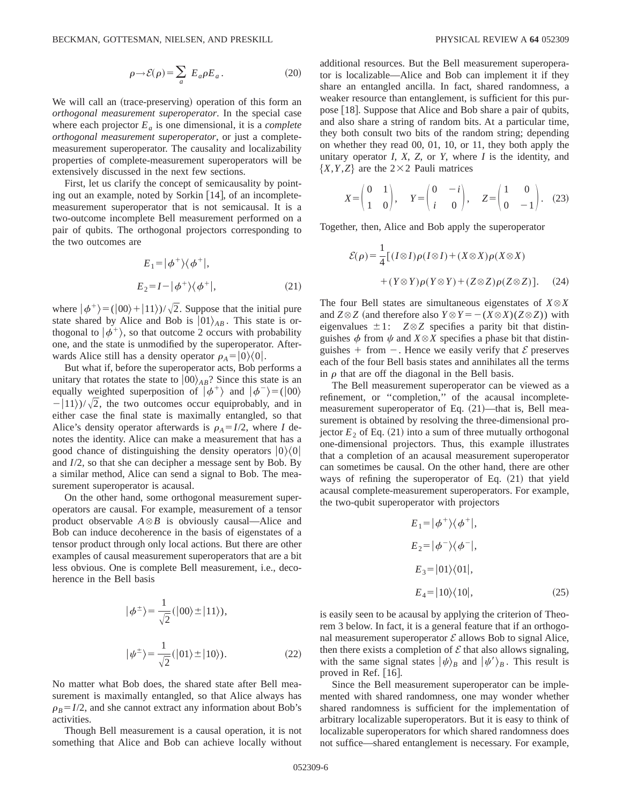$$
\rho \rightarrow \mathcal{E}(\rho) = \sum_{a} E_{a} \rho E_{a}.
$$
 (20)

We will call an (trace-preserving) operation of this form an *orthogonal measurement superoperator*. In the special case where each projector  $E_a$  is one dimensional, it is a *complete orthogonal measurement superoperator*, or just a completemeasurement superoperator. The causality and localizability properties of complete-measurement superoperators will be extensively discussed in the next few sections.

First, let us clarify the concept of semicausality by pointing out an example, noted by Sorkin  $[14]$ , of an incompletemeasurement superoperator that is not semicausal. It is a two-outcome incomplete Bell measurement performed on a pair of qubits. The orthogonal projectors corresponding to the two outcomes are

$$
E_1 = |\phi^+\rangle\langle\phi^+|,
$$
  
\n
$$
E_2 = I - |\phi^+\rangle\langle\phi^+|,
$$
\n(21)

where  $|\phi^+\rangle = (|00\rangle + |11\rangle)/\sqrt{2}$ . Suppose that the initial pure state shared by Alice and Bob is  $|01\rangle_{AB}$ . This state is orthogonal to  $|\phi^+\rangle$ , so that outcome 2 occurs with probability one, and the state is unmodified by the superoperator. Afterwards Alice still has a density operator  $\rho_A = |0\rangle\langle 0|$ .

But what if, before the superoperator acts, Bob performs a unitary that rotates the state to  $|00\rangle_{AB}$ ? Since this state is an equally weighted superposition of  $|\phi^+\rangle$  and  $|\phi^-\rangle = (00\rangle)$  $-|11\rangle$ / $\sqrt{2}$ , the two outcomes occur equiprobably, and in either case the final state is maximally entangled, so that Alice's density operator afterwards is  $\rho_A = I/2$ , where *I* denotes the identity. Alice can make a measurement that has a good chance of distinguishing the density operators  $|0\rangle\langle0|$ and *I*/2, so that she can decipher a message sent by Bob. By a similar method, Alice can send a signal to Bob. The measurement superoperator is acausal.

On the other hand, some orthogonal measurement superoperators are causal. For example, measurement of a tensor product observable  $A \otimes B$  is obviously causal—Alice and Bob can induce decoherence in the basis of eigenstates of a tensor product through only local actions. But there are other examples of causal measurement superoperators that are a bit less obvious. One is complete Bell measurement, i.e., decoherence in the Bell basis

$$
|\phi^{\pm}\rangle = \frac{1}{\sqrt{2}}(|00\rangle \pm |11\rangle),
$$
  

$$
|\psi^{\pm}\rangle = \frac{1}{\sqrt{2}}(|01\rangle \pm |10\rangle).
$$
 (22)

No matter what Bob does, the shared state after Bell measurement is maximally entangled, so that Alice always has  $\rho_B = I/2$ , and she cannot extract any information about Bob's activities.

Though Bell measurement is a causal operation, it is not something that Alice and Bob can achieve locally without additional resources. But the Bell measurement superoperator is localizable—Alice and Bob can implement it if they share an entangled ancilla. In fact, shared randomness, a weaker resource than entanglement, is sufficient for this purpose  $[18]$ . Suppose that Alice and Bob share a pair of qubits, and also share a string of random bits. At a particular time, they both consult two bits of the random string; depending on whether they read 00, 01, 10, or 11, they both apply the unitary operator *I*, *X*, *Z*, or *Y*, where *I* is the identity, and  ${X, Y, Z}$  are the 2×2 Pauli matrices

$$
X = \begin{pmatrix} 0 & 1 \\ 1 & 0 \end{pmatrix}, \quad Y = \begin{pmatrix} 0 & -i \\ i & 0 \end{pmatrix}, \quad Z = \begin{pmatrix} 1 & 0 \\ 0 & -1 \end{pmatrix}. \tag{23}
$$

Together, then, Alice and Bob apply the superoperator

$$
\mathcal{E}(\rho) = \frac{1}{4} [(I \otimes I)\rho(I \otimes I) + (X \otimes X)\rho(X \otimes X)
$$

$$
+ (Y \otimes Y)\rho(Y \otimes Y) + (Z \otimes Z)\rho(Z \otimes Z)]. \tag{24}
$$

The four Bell states are simultaneous eigenstates of  $X \otimes X$ and  $Z \otimes Z$  (and therefore also  $Y \otimes Y = -(X \otimes X)(Z \otimes Z)$ ) with eigenvalues  $\pm 1$ :  $Z \otimes Z$  specifies a parity bit that distinguishes  $\phi$  from  $\psi$  and  $X \otimes X$  specifies a phase bit that distinguishes + from  $-$ . Hence we easily verify that  $\mathcal E$  preserves each of the four Bell basis states and annihilates all the terms in  $\rho$  that are off the diagonal in the Bell basis.

The Bell measurement superoperator can be viewed as a refinement, or ''completion,'' of the acausal incompletemeasurement superoperator of Eq.  $(21)$ —that is, Bell measurement is obtained by resolving the three-dimensional projector  $E_2$  of Eq. (21) into a sum of three mutually orthogonal one-dimensional projectors. Thus, this example illustrates that a completion of an acausal measurement superoperator can sometimes be causal. On the other hand, there are other ways of refining the superoperator of Eq.  $(21)$  that yield acausal complete-measurement superoperators. For example, the two-qubit superoperator with projectors

$$
E_1 = |\phi^+\rangle\langle\phi^+|,
$$
  
\n
$$
E_2 = |\phi^-\rangle\langle\phi^-|,
$$
  
\n
$$
E_3 = |01\rangle\langle01|,
$$
  
\n
$$
E_4 = |10\rangle\langle10|,
$$
 (25)

is easily seen to be acausal by applying the criterion of Theorem 3 below. In fact, it is a general feature that if an orthogonal measurement superoperator  $\mathcal E$  allows Bob to signal Alice, then there exists a completion of  $\mathcal E$  that also allows signaling, with the same signal states  $|\psi\rangle_B$  and  $|\psi'\rangle_B$ . This result is proved in Ref.  $[16]$ .

Since the Bell measurement superoperator can be implemented with shared randomness, one may wonder whether shared randomness is sufficient for the implementation of arbitrary localizable superoperators. But it is easy to think of localizable superoperators for which shared randomness does not suffice—shared entanglement is necessary. For example,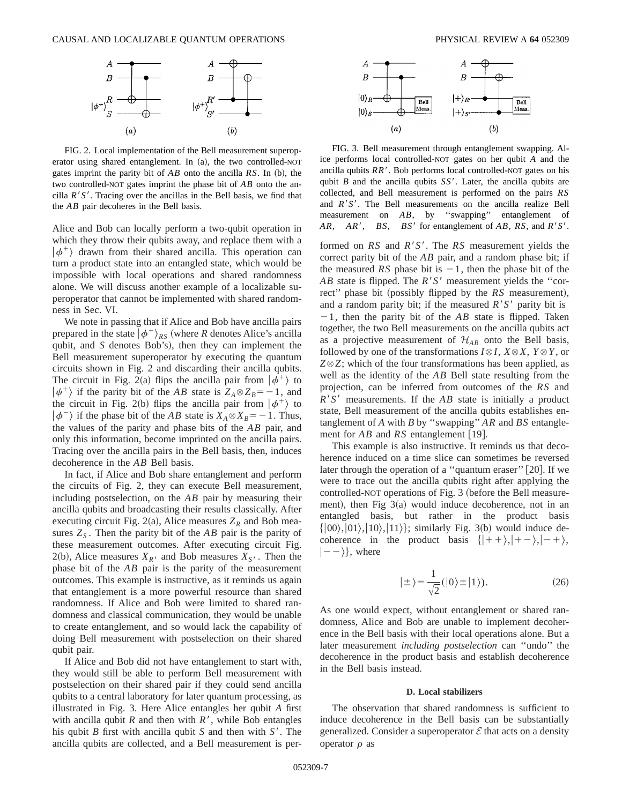

FIG. 2. Local implementation of the Bell measurement superoperator using shared entanglement. In  $(a)$ , the two controlled-NOT gates imprint the parity bit of  $AB$  onto the ancilla  $RS$ . In (b), the two controlled-NOT gates imprint the phase bit of *AB* onto the ancilla  $R'S'$ . Tracing over the ancillas in the Bell basis, we find that the *AB* pair decoheres in the Bell basis.

Alice and Bob can locally perform a two-qubit operation in which they throw their qubits away, and replace them with a  $|\phi^+\rangle$  drawn from their shared ancilla. This operation can turn a product state into an entangled state, which would be impossible with local operations and shared randomness alone. We will discuss another example of a localizable superoperator that cannot be implemented with shared randomness in Sec. VI.

We note in passing that if Alice and Bob have ancilla pairs prepared in the state  $\left|\phi^{+}\right\rangle_{RS}$  (where *R* denotes Alice's ancilla qubit, and *S* denotes Bob's), then they can implement the Bell measurement superoperator by executing the quantum circuits shown in Fig. 2 and discarding their ancilla qubits. The circuit in Fig. 2(a) flips the ancilla pair from  $|\phi^+\rangle$  to  $|\psi^+\rangle$  if the parity bit of the *AB* state is  $Z_A \otimes Z_B = -1$ , and the circuit in Fig. 2(b) flips the ancilla pair from  $|\phi^+\rangle$  to  $|\phi^{-}\rangle$  if the phase bit of the *AB* state is  $X_A \otimes X_B = -1$ . Thus, the values of the parity and phase bits of the *AB* pair, and only this information, become imprinted on the ancilla pairs. Tracing over the ancilla pairs in the Bell basis, then, induces decoherence in the *AB* Bell basis.

In fact, if Alice and Bob share entanglement and perform the circuits of Fig. 2, they can execute Bell measurement, including postselection, on the *AB* pair by measuring their ancilla qubits and broadcasting their results classically. After executing circuit Fig. 2(a), Alice measures  $Z_R$  and Bob measures  $Z<sub>S</sub>$ . Then the parity bit of the *AB* pair is the parity of these measurement outcomes. After executing circuit Fig. 2(b), Alice measures  $X_{R}$  and Bob measures  $X_{S}$ . Then the phase bit of the *AB* pair is the parity of the measurement outcomes. This example is instructive, as it reminds us again that entanglement is a more powerful resource than shared randomness. If Alice and Bob were limited to shared randomness and classical communication, they would be unable to create entanglement, and so would lack the capability of doing Bell measurement with postselection on their shared qubit pair.

If Alice and Bob did not have entanglement to start with, they would still be able to perform Bell measurement with postselection on their shared pair if they could send ancilla qubits to a central laboratory for later quantum processing, as illustrated in Fig. 3. Here Alice entangles her qubit *A* first with ancilla qubit  $R$  and then with  $R'$ , while Bob entangles his qubit *B* first with ancilla qubit *S* and then with  $S'$ . The ancilla qubits are collected, and a Bell measurement is per-



FIG. 3. Bell measurement through entanglement swapping. Alice performs local controlled-NOT gates on her qubit *A* and the ancilla qubits  $RR'$ . Bob performs local controlled-NOT gates on his qubit *B* and the ancilla qubits  $SS'$ . Later, the ancilla qubits are collected, and Bell measurement is performed on the pairs *RS* and *R'S'*. The Bell measurements on the ancilla realize Bell measurement on *AB*, by ''swapping'' entanglement of *AR*, *AR'*, *BS*, *BS'* for entanglement of *AB*, *RS*, and *R'S'*.

formed on  $RS$  and  $R'S'$ . The  $RS$  measurement yields the correct parity bit of the *AB* pair, and a random phase bit; if the measured *RS* phase bit is  $-1$ , then the phase bit of the *AB* state is flipped. The  $R'S'$  measurement yields the "correct" phase bit (possibly flipped by the *RS* measurement), and a random parity bit; if the measured  $R'S'$  parity bit is  $-1$ , then the parity bit of the *AB* state is flipped. Taken together, the two Bell measurements on the ancilla qubits act as a projective measurement of  $\mathcal{H}_{AB}$  onto the Bell basis, followed by one of the transformations  $I \otimes I$ ,  $X \otimes X$ ,  $Y \otimes Y$ , or  $Z \otimes Z$ ; which of the four transformations has been applied, as well as the identity of the *AB* Bell state resulting from the projection, can be inferred from outcomes of the *RS* and  $R^{\prime}S^{\prime}$  measurements. If the *AB* state is initially a product state, Bell measurement of the ancilla qubits establishes entanglement of *A* with *B* by ''swapping'' *AR* and *BS* entanglement for  $AB$  and  $RS$  entanglement [19].

This example is also instructive. It reminds us that decoherence induced on a time slice can sometimes be reversed later through the operation of a "quantum eraser" [20]. If we were to trace out the ancilla qubits right after applying the controlled-NOT operations of Fig. 3 (before the Bell measurement), then Fig  $3(a)$  would induce decoherence, not in an entangled basis, but rather in the product basis  $\{|00\rangle, |01\rangle, |10\rangle, |11\rangle\};$  similarly Fig. 3(b) would induce decoherence in the product basis  $\{|++\rangle,|+-\rangle,|-+\rangle,$  $|--\rangle$ , where

$$
|\pm\rangle = \frac{1}{\sqrt{2}}(|0\rangle \pm |1\rangle). \tag{26}
$$

As one would expect, without entanglement or shared randomness, Alice and Bob are unable to implement decoherence in the Bell basis with their local operations alone. But a later measurement *including postselection* can ''undo'' the decoherence in the product basis and establish decoherence in the Bell basis instead.

## **D. Local stabilizers**

The observation that shared randomness is sufficient to induce decoherence in the Bell basis can be substantially generalized. Consider a superoperator  $\mathcal E$  that acts on a density operator  $\rho$  as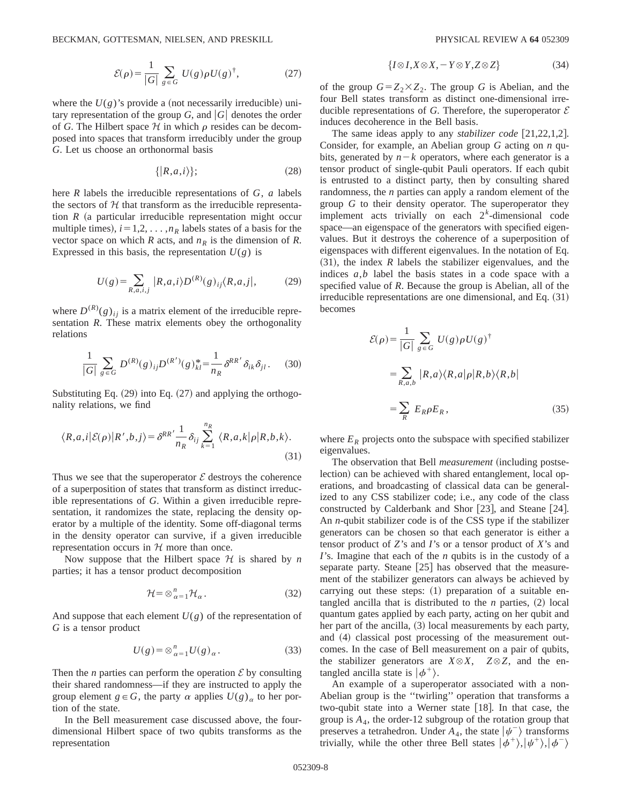$$
\mathcal{E}(\rho) = \frac{1}{|G|} \sum_{g \in G} U(g) \rho U(g)^{\dagger}, \tag{27}
$$

where the  $U(g)$ 's provide a (not necessarily irreducible) unitary representation of the group *G*, and  $|G|$  denotes the order of *G*. The Hilbert space  $H$  in which  $\rho$  resides can be decomposed into spaces that transform irreducibly under the group *G*. Let us choose an orthonormal basis

$$
\{|R,a,i\rangle\};\tag{28}
$$

here *R* labels the irreducible representations of *G*, *a* labels the sectors of  $H$  that transform as the irreducible representation  $R$  (a particular irreducible representation might occur multiple times),  $i=1,2,\ldots,n_R$  labels states of a basis for the vector space on which *R* acts, and  $n<sub>R</sub>$  is the dimension of *R*. Expressed in this basis, the representation  $U(g)$  is

$$
U(g) = \sum_{R,a,i,j} |R,a,i\rangle D^{(R)}(g)_{ij} \langle R,a,j|, \qquad (29)
$$

where  $D^{(R)}(g)_{ij}$  is a matrix element of the irreducible representation *R*. These matrix elements obey the orthogonality relations

$$
\frac{1}{|G|} \sum_{g \in G} D^{(R)}(g)_{ij} D^{(R')}(g)_{kl}^* = \frac{1}{n_R} \delta^{RR'} \delta_{ik} \delta_{jl}.
$$
 (30)

Substituting Eq.  $(29)$  into Eq.  $(27)$  and applying the orthogonality relations, we find

$$
\langle R, a, i | \mathcal{E}(\rho) | R', b, j \rangle = \delta^{RR'} \frac{1}{n_R} \delta_{ij} \sum_{k=1}^{n_R} \langle R, a, k | \rho | R, b, k \rangle.
$$
\n(31)

Thus we see that the superoperator  $\mathcal E$  destroys the coherence of a superposition of states that transform as distinct irreducible representations of *G*. Within a given irreducible representation, it randomizes the state, replacing the density operator by a multiple of the identity. Some off-diagonal terms in the density operator can survive, if a given irreducible representation occurs in  $H$  more than once.

Now suppose that the Hilbert space  $H$  is shared by *n* parties; it has a tensor product decomposition

$$
\mathcal{H} = \otimes_{\alpha=1}^{n} \mathcal{H}_{\alpha}.
$$
 (32)

And suppose that each element  $U(g)$  of the representation of *G* is a tensor product

$$
U(g) = \otimes_{\alpha=1}^{n} U(g)_{\alpha}.
$$
 (33)

Then the *n* parties can perform the operation  $\mathcal E$  by consulting their shared randomness—if they are instructed to apply the group element  $g \in G$ , the party  $\alpha$  applies  $U(g)_{\alpha}$  to her portion of the state.

In the Bell measurement case discussed above, the fourdimensional Hilbert space of two qubits transforms as the representation

$$
\{I \otimes I, X \otimes X, -Y \otimes Y, Z \otimes Z\} \tag{34}
$$

of the group  $G = Z_2 \times Z_2$ . The group *G* is Abelian, and the four Bell states transform as distinct one-dimensional irreducible representations of *G*. Therefore, the superoperator  $\mathcal E$ induces decoherence in the Bell basis.

The same ideas apply to any *stabilizer code* [21,22,1,2]. Consider, for example, an Abelian group *G* acting on *n* qubits, generated by  $n-k$  operators, where each generator is a tensor product of single-qubit Pauli operators. If each qubit is entrusted to a distinct party, then by consulting shared randomness, the *n* parties can apply a random element of the group *G* to their density operator. The superoperator they implement acts trivially on each 2*<sup>k</sup>* -dimensional code space—an eigenspace of the generators with specified eigenvalues. But it destroys the coherence of a superposition of eigenspaces with different eigenvalues. In the notation of Eq.  $(31)$ , the index *R* labels the stabilizer eigenvalues, and the indices *a*,*b* label the basis states in a code space with a specified value of *R*. Because the group is Abelian, all of the irreducible representations are one dimensional, and Eq.  $(31)$ becomes

$$
\mathcal{E}(\rho) = \frac{1}{|G|} \sum_{g \in G} U(g) \rho U(g)^{\dagger}
$$
  
= 
$$
\sum_{R,a,b} |R,a\rangle \langle R,a|\rho|R,b\rangle \langle R,b|
$$
  
= 
$$
\sum_{R} E_R \rho E_R,
$$
 (35)

where  $E_R$  projects onto the subspace with specified stabilizer eigenvalues.

The observation that Bell *measurement* (including postselection) can be achieved with shared entanglement, local operations, and broadcasting of classical data can be generalized to any CSS stabilizer code; i.e., any code of the class constructed by Calderbank and Shor  $[23]$ , and Steane  $[24]$ . An *n*-qubit stabilizer code is of the CSS type if the stabilizer generators can be chosen so that each generator is either a tensor product of *Z*'s and *I*'s or a tensor product of *X*'s and *I*'s. Imagine that each of the *n* qubits is in the custody of a separate party. Steane  $\lceil 25 \rceil$  has observed that the measurement of the stabilizer generators can always be achieved by carrying out these steps:  $(1)$  preparation of a suitable entangled ancilla that is distributed to the  $n$  parties,  $(2)$  local quantum gates applied by each party, acting on her qubit and her part of the ancilla,  $(3)$  local measurements by each party, and (4) classical post processing of the measurement outcomes. In the case of Bell measurement on a pair of qubits, the stabilizer generators are  $X \otimes X$ ,  $Z \otimes Z$ , and the entangled ancilla state is  $|\phi^+\rangle$ .

An example of a superoperator associated with a non-Abelian group is the ''twirling'' operation that transforms a two-qubit state into a Werner state  $[18]$ . In that case, the group is  $A_4$ , the order-12 subgroup of the rotation group that preserves a tetrahedron. Under  $A_4$ , the state  $|\psi^{-}\rangle$  transforms trivially, while the other three Bell states  $|\phi^{+}\rangle,|\psi^{+}\rangle,|\phi^{-}\rangle$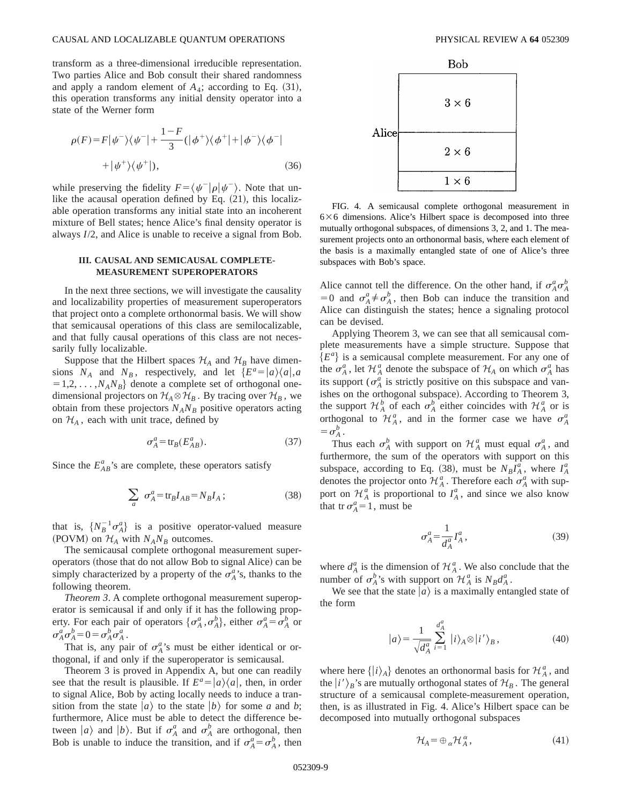transform as a three-dimensional irreducible representation. Two parties Alice and Bob consult their shared randomness and apply a random element of  $A_4$ ; according to Eq.  $(31)$ , this operation transforms any initial density operator into a state of the Werner form

$$
\rho(F) = F|\psi^{-}\rangle\langle\psi^{-}| + \frac{1-F}{3}(|\phi^{+}\rangle\langle\phi^{+}| + |\phi^{-}\rangle\langle\phi^{-}|
$$
  
+ 
$$
|\psi^{+}\rangle\langle\psi^{+}|), \qquad (36)
$$

while preserving the fidelity  $F = \langle \psi^- | \rho | \psi^- \rangle$ . Note that unlike the acausal operation defined by Eq.  $(21)$ , this localizable operation transforms any initial state into an incoherent mixture of Bell states; hence Alice's final density operator is always *I*/2, and Alice is unable to receive a signal from Bob.

## **III. CAUSAL AND SEMICAUSAL COMPLETE-MEASUREMENT SUPEROPERATORS**

In the next three sections, we will investigate the causality and localizability properties of measurement superoperators that project onto a complete orthonormal basis. We will show that semicausal operations of this class are semilocalizable, and that fully causal operations of this class are not necessarily fully localizable.

Suppose that the Hilbert spaces  $\mathcal{H}_A$  and  $\mathcal{H}_B$  have dimensions  $N_A$  and  $N_B$ , respectively, and let  $\{E^a=|a\rangle\langle a|,a\}$  $=1,2,\ldots,N_AN_B$ } denote a complete set of orthogonal onedimensional projectors on  $\mathcal{H}_A \otimes \mathcal{H}_B$ . By tracing over  $\mathcal{H}_B$ , we obtain from these projectors  $N_A N_B$  positive operators acting on  $\mathcal{H}_A$ , each with unit trace, defined by

$$
\sigma_A^a = \text{tr}_B(E_{AB}^a). \tag{37}
$$

Since the  $E_{AB}^a$ 's are complete, these operators satisfy

$$
\sum_{a} \sigma_A^a = \text{tr}_B I_{AB} = N_B I_A \, ; \tag{38}
$$

that is,  $\{N_B^{-1} \sigma_A^a\}$  is a positive operator-valued measure (POVM) on  $H_A$  with  $N_A N_B$  outcomes.

The semicausal complete orthogonal measurement superoperators (those that do not allow Bob to signal Alice) can be simply characterized by a property of the  $\sigma_A^a$ 's, thanks to the following theorem.

*Theorem 3*. A complete orthogonal measurement superoperator is semicausal if and only if it has the following property. For each pair of operators  $\{\sigma_A^a, \sigma_A^b\}$ , either  $\sigma_A^a = \sigma_A^b$  or  $\sigma_A^a \sigma_A^b = 0 = \sigma_A^b \sigma_A^a$ .

That is, any pair of  $\sigma_A^a$ 's must be either identical or orthogonal, if and only if the superoperator is semicausal.

Theorem 3 is proved in Appendix A, but one can readily see that the result is plausible. If  $E^a = |a\rangle\langle a|$ , then, in order to signal Alice, Bob by acting locally needs to induce a transition from the state  $|a\rangle$  to the state  $|b\rangle$  for some *a* and *b*; furthermore, Alice must be able to detect the difference between  $|a\rangle$  and  $|b\rangle$ . But if  $\sigma_A^a$  and  $\sigma_A^b$  are orthogonal, then Bob is unable to induce the transition, and if  $\sigma_A^a = \sigma_A^b$ , then



FIG. 4. A semicausal complete orthogonal measurement in  $6\times6$  dimensions. Alice's Hilbert space is decomposed into three mutually orthogonal subspaces, of dimensions 3, 2, and 1. The measurement projects onto an orthonormal basis, where each element of the basis is a maximally entangled state of one of Alice's three subspaces with Bob's space.

Alice cannot tell the difference. On the other hand, if  $\sigma_A^a \sigma_A^b$  $=0$  and  $\sigma_A^a \neq \sigma_A^b$ , then Bob can induce the transition and Alice can distinguish the states; hence a signaling protocol can be devised.

Applying Theorem 3, we can see that all semicausal complete measurements have a simple structure. Suppose that  ${E<sup>a</sup>}$  is a semicausal complete measurement. For any one of the  $\sigma_A^a$ , let  $\mathcal{H}_A^a$  denote the subspace of  $\mathcal{H}_A$  on which  $\sigma_A^a$  has its support ( $\sigma_A^a$  is strictly positive on this subspace and vanishes on the orthogonal subspace). According to Theorem 3, the support  $\mathcal{H}_A^b$  of each  $\sigma_A^b$  either coincides with  $\mathcal{H}_A^a$  or is orthogonal to  $\mathcal{H}_A^a$ , and in the former case we have  $\sigma_A^a$  $=\sigma_A^b$ .

Thus each  $\sigma_A^b$  with support on  $\mathcal{H}_A^a$  must equal  $\sigma_A^a$ , and furthermore, the sum of the operators with support on this subspace, according to Eq. (38), must be  $N_B I_A^a$ , where  $I_A^a$ denotes the projector onto  $\mathcal{H}_A^a$ . Therefore each  $\sigma_A^a$  with support on  $\mathcal{H}_A^a$  is proportional to  $I_A^a$ , and since we also know that tr  $\sigma_A^a = 1$ , must be

$$
\sigma_A^a = \frac{1}{d_A^a} I_A^a \,,\tag{39}
$$

where  $d_A^a$  is the dimension of  $\mathcal{H}_A^a$ . We also conclude that the number of  $\sigma_A^b$ 's with support on  $\mathcal{H}_A^a$  is  $N_B d_A^a$ .

We see that the state  $|a\rangle$  is a maximally entangled state of the form

$$
|a\rangle = \frac{1}{\sqrt{d_A^a}} \sum_{i=1}^{d_A^a} |i\rangle_A \otimes |i'\rangle_B, \qquad (40)
$$

where here  $\{|i\rangle_A\}$  denotes an orthonormal basis for  $\mathcal{H}_A^a$ , and the  $|i'\rangle_B$ 's are mutually orthogonal states of  $\mathcal{H}_B$ . The general structure of a semicausal complete-measurement operation, then, is as illustrated in Fig. 4. Alice's Hilbert space can be decomposed into mutually orthogonal subspaces

$$
\mathcal{H}_A = \oplus_{\alpha} \mathcal{H}_A^{\alpha},\tag{41}
$$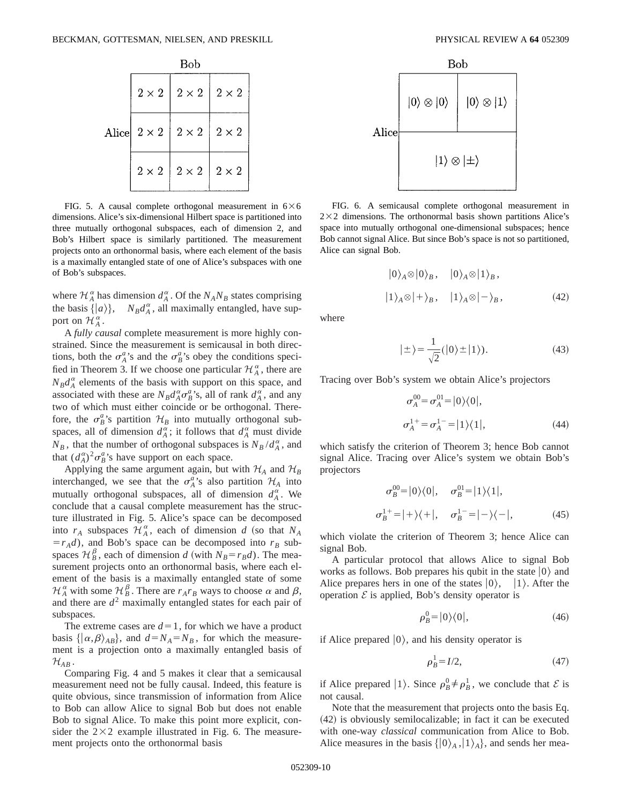|       | Bob          |              |              |
|-------|--------------|--------------|--------------|
| Alice | $2\times2$   | $2 \times 2$ | $2 \times 2$ |
|       | $2 \times 2$ | $2 \times 2$ | $2\times 2$  |
|       | $2 \times 2$ | $2\times2$   | $2\times 2$  |

FIG. 5. A causal complete orthogonal measurement in  $6\times6$ dimensions. Alice's six-dimensional Hilbert space is partitioned into three mutually orthogonal subspaces, each of dimension 2, and Bob's Hilbert space is similarly partitioned. The measurement projects onto an orthonormal basis, where each element of the basis is a maximally entangled state of one of Alice's subspaces with one of Bob's subspaces.

where  $\mathcal{H}_A^{\alpha}$  has dimension  $d_A^{\alpha}$ . Of the  $N_A N_B$  states comprising the basis  $\{|a\rangle\}$ ,  $N_B d_A^{\alpha}$ , all maximally entangled, have support on  $\mathcal{H}_A^{\alpha}$ .

A *fully causal* complete measurement is more highly constrained. Since the measurement is semicausal in both directions, both the  $\sigma_A^a$ 's and the  $\sigma_B^a$ 's obey the conditions specified in Theorem 3. If we choose one particular  $\mathcal{H}_{A}^{\alpha}$ , there are  $N_B d_A^{\alpha}$  elements of the basis with support on this space, and associated with these are  $N_B d_A^{\alpha} \sigma_B^{\alpha}$ 's, all of rank  $d_A^{\alpha}$ , and any two of which must either coincide or be orthogonal. Therefore, the  $\sigma_B^a$ 's partition  $\mathcal{H}_B$  into mutually orthogonal subspaces, all of dimension  $d_A^{\alpha}$ ; it follows that  $d_A^{\alpha}$  must divide  $N_B$ , that the number of orthogonal subspaces is  $N_B / d_A^{\alpha}$ , and that  $(d_A^{\alpha})^2 \sigma_B^{\alpha}$ 's have support on each space.

Applying the same argument again, but with  $H_A$  and  $H_B$ interchanged, we see that the  $\sigma_A^a$ 's also partition  $\mathcal{H}_A$  into mutually orthogonal subspaces, all of dimension  $d_A^{\alpha}$ . We conclude that a causal complete measurement has the structure illustrated in Fig. 5. Alice's space can be decomposed into  $r_A$  subspaces  $\mathcal{H}_A^{\alpha}$ , each of dimension *d* (so that  $N_A$  $=r_A d$ ), and Bob's space can be decomposed into  $r_B$  subspaces  $\mathcal{H}_{B}^{\beta}$ , each of dimension *d* (with  $N_{B} = r_{B}d$ ). The measurement projects onto an orthonormal basis, where each element of the basis is a maximally entangled state of some  $\mathcal{H}_A^{\alpha}$  with some  $\mathcal{H}_B^{\beta}$ . There are  $r_A r_B$  ways to choose  $\alpha$  and  $\beta$ , and there are  $d^2$  maximally entangled states for each pair of subspaces.

The extreme cases are  $d=1$ , for which we have a product basis  $\{\ket{\alpha,\beta}_{AB}\}$ , and  $d=N_A=N_B$ , for which the measurement is a projection onto a maximally entangled basis of  $\mathcal{H}_{AB}$  .

Comparing Fig. 4 and 5 makes it clear that a semicausal measurement need not be fully causal. Indeed, this feature is quite obvious, since transmission of information from Alice to Bob can allow Alice to signal Bob but does not enable Bob to signal Alice. To make this point more explicit, consider the  $2\times2$  example illustrated in Fig. 6. The measurement projects onto the orthonormal basis



FIG. 6. A semicausal complete orthogonal measurement in  $2\times2$  dimensions. The orthonormal basis shown partitions Alice's space into mutually orthogonal one-dimensional subspaces; hence Bob cannot signal Alice. But since Bob's space is not so partitioned, Alice can signal Bob.

$$
|0\rangle_A \otimes |0\rangle_B, \quad |0\rangle_A \otimes |1\rangle_B,
$$
  

$$
|1\rangle_A \otimes |+\rangle_B, \quad |1\rangle_A \otimes |-\rangle_B,
$$
 (42)

where

$$
|\pm\rangle = \frac{1}{\sqrt{2}} (|0\rangle \pm |1\rangle). \tag{43}
$$

Tracing over Bob's system we obtain Alice's projectors

$$
\sigma_A^{00} = \sigma_A^{01} = |0\rangle\langle 0|,
$$
  
\n
$$
\sigma_A^{1+} = \sigma_A^{1-} = |1\rangle\langle 1|,
$$
\n(44)

which satisfy the criterion of Theorem 3; hence Bob cannot signal Alice. Tracing over Alice's system we obtain Bob's projectors

$$
\sigma_B^{00} = |0\rangle\langle 0|, \quad \sigma_B^{01} = |1\rangle\langle 1|,
$$
  

$$
\sigma_B^{1+} = |+\rangle\langle +|, \quad \sigma_B^{1-} = |-\rangle\langle -|,
$$
 (45)

which violate the criterion of Theorem 3; hence Alice can signal Bob.

A particular protocol that allows Alice to signal Bob works as follows. Bob prepares his qubit in the state  $|0\rangle$  and Alice prepares hers in one of the states  $|0\rangle$ ,  $|1\rangle$ . After the operation  $\mathcal E$  is applied, Bob's density operator is

$$
\rho_B^0 = |0\rangle\langle 0|,\tag{46}
$$

if Alice prepared  $|0\rangle$ , and his density operator is

$$
\rho_B^1 = I/2,\tag{47}
$$

if Alice prepared  $|1\rangle$ . Since  $\rho_B^0 \neq \rho_B^1$ , we conclude that  $\mathcal E$  is not causal.

Note that the measurement that projects onto the basis Eq.  $(42)$  is obviously semilocalizable; in fact it can be executed with one-way *classical* communication from Alice to Bob. Alice measures in the basis  $\{ |0\rangle_A, |1\rangle_A\}$ , and sends her mea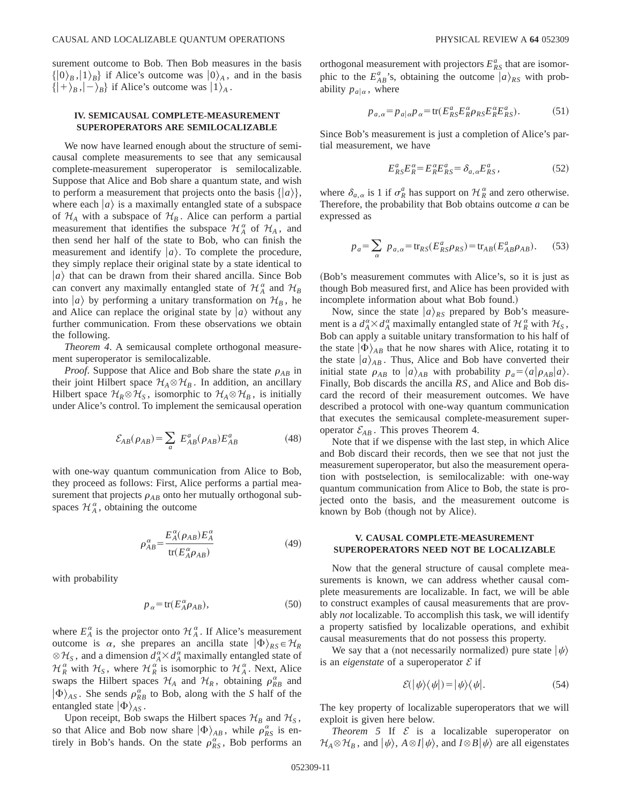surement outcome to Bob. Then Bob measures in the basis  $\{ |0\rangle_B, |1\rangle_B \}$  if Alice's outcome was  $|0\rangle_A$ , and in the basis  $\{ |+\rangle_B, |-\rangle_B\}$  if Alice's outcome was  $|1\rangle_A$ .

# **IV. SEMICAUSAL COMPLETE-MEASUREMENT SUPEROPERATORS ARE SEMILOCALIZABLE**

We now have learned enough about the structure of semicausal complete measurements to see that any semicausal complete-measurement superoperator is semilocalizable. Suppose that Alice and Bob share a quantum state, and wish to perform a measurement that projects onto the basis  $\{|a\rangle\},\$ where each  $\ket{a}$  is a maximally entangled state of a subspace of  $H_A$  with a subspace of  $H_B$ . Alice can perform a partial measurement that identifies the subspace  $\mathcal{H}_A^{\alpha}$  of  $\mathcal{H}_A$ , and then send her half of the state to Bob, who can finish the measurement and identify  $|a\rangle$ . To complete the procedure, they simply replace their original state by a state identical to  $|a\rangle$  that can be drawn from their shared ancilla. Since Bob can convert any maximally entangled state of  $\mathcal{H}_A^{\alpha}$  and  $\mathcal{H}_B$ into  $|a\rangle$  by performing a unitary transformation on  $\mathcal{H}_B$ , he and Alice can replace the original state by  $|a\rangle$  without any further communication. From these observations we obtain the following.

*Theorem 4*. A semicausal complete orthogonal measurement superoperator is semilocalizable.

*Proof.* Suppose that Alice and Bob share the state  $\rho_{AB}$  in their joint Hilbert space  $\mathcal{H}_A \otimes \mathcal{H}_B$ . In addition, an ancillary Hilbert space  $\mathcal{H}_R \otimes \mathcal{H}_S$ , isomorphic to  $\mathcal{H}_A \otimes \mathcal{H}_B$ , is initially under Alice's control. To implement the semicausal operation

$$
\mathcal{E}_{AB}(\rho_{AB}) = \sum_{a} E_{AB}^{a}(\rho_{AB}) E_{AB}^{a}
$$
 (48)

with one-way quantum communication from Alice to Bob, they proceed as follows: First, Alice performs a partial measurement that projects  $\rho_{AB}$  onto her mutually orthogonal subspaces  $\mathcal{H}_A^{\alpha}$ , obtaining the outcome

$$
\rho_{AB}^{\alpha} = \frac{E_A^{\alpha}(\rho_{AB})E_A^{\alpha}}{\text{tr}(E_A^{\alpha}\rho_{AB})}
$$
(49)

with probability

$$
p_{\alpha} = \text{tr}(E_{A}^{\alpha} \rho_{AB}),\tag{50}
$$

where  $E_A^{\alpha}$  is the projector onto  $\mathcal{H}_A^{\alpha}$ . If Alice's measurement outcome is  $\alpha$ , she prepares an ancilla state  $|\Phi\rangle_{RS} \in \mathcal{H}_R$  $\otimes$  *H<sub>S</sub>*, and a dimension  $d_A^{\alpha} \times d_A^{\alpha}$  maximally entangled state of  $\mathcal{H}_R^{\alpha}$  with  $\mathcal{H}_S$ , where  $\mathcal{H}_R^{\alpha}$  is isomorphic to  $\mathcal{H}_A^{\alpha}$ . Next, Alice swaps the Hilbert spaces  $\mathcal{H}_A$  and  $\mathcal{H}_R$ , obtaining  $\rho_{RB}^{\alpha}$  and  $|\Phi\rangle_{AS}$ . She sends  $\rho_{RB}^{\alpha}$  to Bob, along with the *S* half of the entangled state  $|\Phi\rangle_{AS}$ .

Upon receipt, Bob swaps the Hilbert spaces  $\mathcal{H}_B$  and  $\mathcal{H}_S$ , so that Alice and Bob now share  $|\Phi\rangle_{AB}$ , while  $\rho_{RS}^{\alpha}$  is entirely in Bob's hands. On the state  $\rho_{RS}^{\alpha}$ , Bob performs an

orthogonal measurement with projectors  $E_{RS}^a$  that are isomorphic to the  $E_{AB}^a$ 's, obtaining the outcome  $|a\rangle_{RS}$  with probability  $p_{a|\alpha}$ , where

$$
p_{a,\alpha} = p_{a|\alpha} p_{\alpha} = \text{tr}(E_{RS}^a E_R^{\alpha} \rho_{RS} E_R^{\alpha} E_{RS}^a). \tag{51}
$$

Since Bob's measurement is just a completion of Alice's partial measurement, we have

$$
E_{RS}^a E_R^\alpha = E_R^\alpha E_{RS}^a = \delta_{a,\alpha} E_{RS}^a, \qquad (52)
$$

where  $\delta_{a,\alpha}$  is 1 if  $\sigma_R^a$  has support on  $\mathcal{H}_R^{\alpha}$  and zero otherwise. Therefore, the probability that Bob obtains outcome *a* can be expressed as

$$
p_a = \sum_{\alpha} p_{a,\alpha} = \text{tr}_{RS}(E_{RS}^a \rho_{RS}) = \text{tr}_{AB}(E_{AB}^a \rho_{AB}).
$$
 (53)

~Bob's measurement commutes with Alice's, so it is just as though Bob measured first, and Alice has been provided with incomplete information about what Bob found.)

Now, since the state  $|a\rangle_{RS}$  prepared by Bob's measurement is a  $d_A^{\alpha} \times d_A^{\alpha}$  maximally entangled state of  $\mathcal{H}_R^{\alpha}$  with  $\mathcal{H}_S$ , Bob can apply a suitable unitary transformation to his half of the state  $|\Phi\rangle_{AB}$  that he now shares with Alice, rotating it to the state  $|a\rangle_{AB}$ . Thus, Alice and Bob have converted their initial state  $\rho_{AB}$  to  $|a\rangle_{AB}$  with probability  $p_a = \langle a|\rho_{AB}|a\rangle$ . Finally, Bob discards the ancilla *RS*, and Alice and Bob discard the record of their measurement outcomes. We have described a protocol with one-way quantum communication that executes the semicausal complete-measurement superoperator  $\mathcal{E}_{AB}$ . This proves Theorem 4.

Note that if we dispense with the last step, in which Alice and Bob discard their records, then we see that not just the measurement superoperator, but also the measurement operation with postselection, is semilocalizable: with one-way quantum communication from Alice to Bob, the state is projected onto the basis, and the measurement outcome is known by Bob (though not by Alice).

## **V. CAUSAL COMPLETE-MEASUREMENT SUPEROPERATORS NEED NOT BE LOCALIZABLE**

Now that the general structure of causal complete measurements is known, we can address whether causal complete measurements are localizable. In fact, we will be able to construct examples of causal measurements that are provably *not* localizable. To accomplish this task, we will identify a property satisfied by localizable operations, and exhibit causal measurements that do not possess this property.

We say that a (not necessarily normalized) pure state  $|\psi\rangle$ is an *eigenstate* of a superoperator  $\mathcal E$  if

$$
\mathcal{E}(|\psi\rangle\langle\psi|)=|\psi\rangle\langle\psi|.\tag{54}
$$

The key property of localizable superoperators that we will exploit is given here below.

*Theorem 5* If  $\mathcal E$  is a localizable superoperator on  $\mathcal{H}_A \otimes \mathcal{H}_B$ , and  $|\psi\rangle$ ,  $A \otimes I|\psi\rangle$ , and  $I \otimes B|\psi\rangle$  are all eigenstates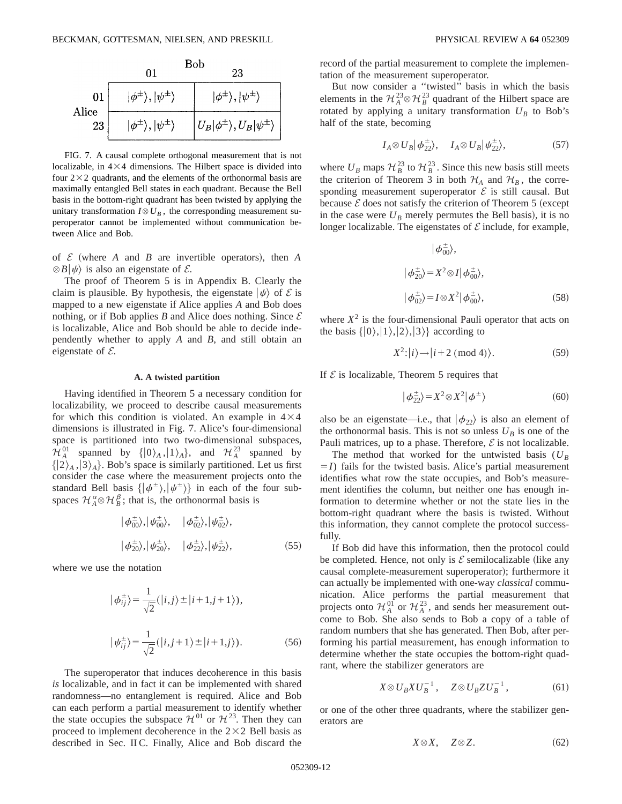

FIG. 7. A causal complete orthogonal measurement that is not localizable, in  $4\times4$  dimensions. The Hilbert space is divided into four  $2\times2$  quadrants, and the elements of the orthonormal basis are maximally entangled Bell states in each quadrant. Because the Bell basis in the bottom-right quadrant has been twisted by applying the unitary transformation  $I \otimes U_B$ , the corresponding measurement superoperator cannot be implemented without communication between Alice and Bob.

of  $\mathcal E$  (where  $A$  and  $B$  are invertible operators), then  $A$  $\otimes$  *B* $|\psi\rangle$  is also an eigenstate of *E*.

The proof of Theorem 5 is in Appendix B. Clearly the claim is plausible. By hypothesis, the eigenstate  $|\psi\rangle$  of E is mapped to a new eigenstate if Alice applies *A* and Bob does nothing, or if Bob applies *B* and Alice does nothing. Since  $\mathcal E$ is localizable, Alice and Bob should be able to decide independently whether to apply *A* and *B*, and still obtain an eigenstate of  $E$ .

#### **A. A twisted partition**

Having identified in Theorem 5 a necessary condition for localizability, we proceed to describe causal measurements for which this condition is violated. An example in  $4\times4$ dimensions is illustrated in Fig. 7. Alice's four-dimensional space is partitioned into two two-dimensional subspaces,  $\mathcal{H}_A^{01}$  spanned by  $\{|0\rangle_A, |1\rangle_A\}$ , and  $\mathcal{H}_A^{23}$  spanned by  $\{ |2\rangle_A, |3\rangle_A \}$ . Bob's space is similarly partitioned. Let us first consider the case where the measurement projects onto the standard Bell basis  $\{|\phi^{\pm}\rangle,|\psi^{\pm}\rangle\}$  in each of the four subspaces  $\mathcal{H}_A^{\alpha} \otimes \mathcal{H}_B^{\beta}$ ; that is, the orthonormal basis is

$$
|\phi_{00}^{\pm}\rangle, |\psi_{00}^{\pm}\rangle, \quad |\phi_{02}^{\pm}\rangle, |\psi_{02}^{\pm}\rangle, |\phi_{20}^{\pm}\rangle, |\psi_{20}^{\pm}\rangle, \quad |\phi_{22}^{\pm}\rangle, |\psi_{22}^{\pm}\rangle, \tag{55}
$$

where we use the notation

$$
|\phi_{ij}^{\pm}\rangle = \frac{1}{\sqrt{2}}(|i,j\rangle \pm |i+1,j+1\rangle),
$$
  

$$
|\psi_{ij}^{\pm}\rangle = \frac{1}{\sqrt{2}}(|i,j+1\rangle \pm |i+1,j\rangle).
$$
 (56)

The superoperator that induces decoherence in this basis *is* localizable, and in fact it can be implemented with shared randomness—no entanglement is required. Alice and Bob can each perform a partial measurement to identify whether the state occupies the subspace  $\mathcal{H}^{01}$  or  $\mathcal{H}^{23}$ . Then they can proceed to implement decoherence in the  $2\times2$  Bell basis as described in Sec. II C. Finally, Alice and Bob discard the record of the partial measurement to complete the implementation of the measurement superoperator.

But now consider a ''twisted'' basis in which the basis elements in the  $\mathcal{H}_A^{23} \otimes \mathcal{H}_B^{23}$  quadrant of the Hilbert space are rotated by applying a unitary transformation  $U_B$  to Bob's half of the state, becoming

$$
I_A \otimes U_B |\phi_{22}^{\pm}\rangle, \quad I_A \otimes U_B |\psi_{22}^{\pm}\rangle, \tag{57}
$$

where  $U_B$  maps  $\mathcal{H}_B^{23}$  to  $\mathcal{H}_B^{23}$ . Since this new basis still meets the criterion of Theorem 3 in both  $H_A$  and  $H_B$ , the corresponding measurement superoperator  $\mathcal E$  is still causal. But because  $\mathcal E$  does not satisfy the criterion of Theorem 5 (except in the case were  $U_B$  merely permutes the Bell basis), it is no longer localizable. The eigenstates of  $\mathcal E$  include, for example,

$$
|\phi_{00}^{\pm}\rangle,
$$
  
\n
$$
|\phi_{20}^{\pm}\rangle = X^2 \otimes I |\phi_{00}^{\pm}\rangle,
$$
  
\n
$$
|\phi_{02}^{\pm}\rangle = I \otimes X^2 |\phi_{00}^{\pm}\rangle,
$$
 (58)

where  $X^2$  is the four-dimensional Pauli operator that acts on the basis  $\{|0\rangle, |1\rangle, |2\rangle, |3\rangle\}$  according to

$$
X^2: |i\rangle \to |i+2 \pmod{4}\rangle. \tag{59}
$$

If  $\mathcal E$  is localizable, Theorem 5 requires that

$$
|\phi_{22}^{\pm}\rangle = X^2 \otimes X^2 |\phi^{\pm}\rangle \tag{60}
$$

also be an eigenstate—i.e., that  $|\phi_{22}\rangle$  is also an element of the orthonormal basis. This is not so unless  $U_B$  is one of the Pauli matrices, up to a phase. Therefore,  $\mathcal E$  is not localizable.

The method that worked for the untwisted basis  $(U_B)$  $=$ *I*) fails for the twisted basis. Alice's partial measurement identifies what row the state occupies, and Bob's measurement identifies the column, but neither one has enough information to determine whether or not the state lies in the bottom-right quadrant where the basis is twisted. Without this information, they cannot complete the protocol successfully.

If Bob did have this information, then the protocol could be completed. Hence, not only is  $\mathcal E$  semilocalizable (like any causal complete-measurement superoperator); furthermore it can actually be implemented with one-way *classical* communication. Alice performs the partial measurement that projects onto  $\mathcal{H}_A^{0\text{T}}$  or  $\mathcal{H}_A^{23}$ , and sends her measurement outcome to Bob. She also sends to Bob a copy of a table of random numbers that she has generated. Then Bob, after performing his partial measurement, has enough information to determine whether the state occupies the bottom-right quadrant, where the stabilizer generators are

$$
X \otimes U_B X U_B^{-1}, \quad Z \otimes U_B Z U_B^{-1}, \tag{61}
$$

or one of the other three quadrants, where the stabilizer generators are

$$
X \otimes X, \quad Z \otimes Z. \tag{62}
$$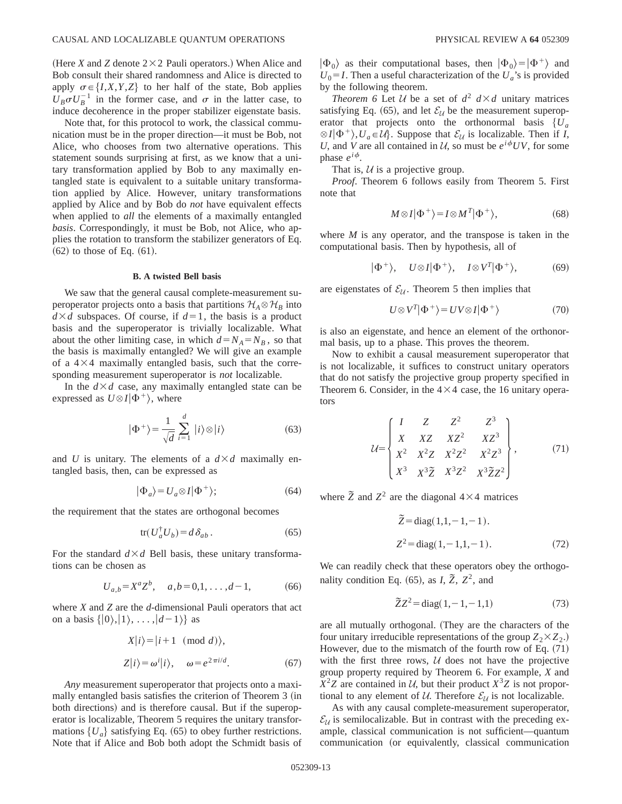(Here *X* and *Z* denote  $2 \times 2$  Pauli operators.) When Alice and Bob consult their shared randomness and Alice is directed to apply  $\sigma \in \{I, X, Y, Z\}$  to her half of the state, Bob applies  $U_B \sigma U_B^{-1}$  in the former case, and  $\sigma$  in the latter case, to induce decoherence in the proper stabilizer eigenstate basis.

Note that, for this protocol to work, the classical communication must be in the proper direction—it must be Bob, not Alice, who chooses from two alternative operations. This statement sounds surprising at first, as we know that a unitary transformation applied by Bob to any maximally entangled state is equivalent to a suitable unitary transformation applied by Alice. However, unitary transformations applied by Alice and by Bob do *not* have equivalent effects when applied to *all* the elements of a maximally entangled *basis*. Correspondingly, it must be Bob, not Alice, who applies the rotation to transform the stabilizer generators of Eq.  $(62)$  to those of Eq.  $(61)$ .

#### **B. A twisted Bell basis**

We saw that the general causal complete-measurement superoperator projects onto a basis that partitions  $\mathcal{H}_A \otimes \mathcal{H}_B$  into  $d \times d$  subspaces. Of course, if  $d=1$ , the basis is a product basis and the superoperator is trivially localizable. What about the other limiting case, in which  $d=N_A=N_B$ , so that the basis is maximally entangled? We will give an example of a  $4\times4$  maximally entangled basis, such that the corresponding measurement superoperator is *not* localizable.

In the  $d \times d$  case, any maximally entangled state can be expressed as  $U \otimes I | \Phi^+ \rangle$ , where

$$
|\Phi^{+}\rangle = \frac{1}{\sqrt{d}}\sum_{i=1}^{d} |i\rangle \otimes |i\rangle \tag{63}
$$

and *U* is unitary. The elements of a  $d \times d$  maximally entangled basis, then, can be expressed as

$$
|\Phi_a\rangle = U_a \otimes I|\Phi^+\rangle;\tag{64}
$$

the requirement that the states are orthogonal becomes

$$
\text{tr}(U_a^{\dagger} U_b) = d \,\delta_{ab} \,. \tag{65}
$$

For the standard  $d \times d$  Bell basis, these unitary transformations can be chosen as

$$
U_{a,b} = X^a Z^b, \quad a,b = 0,1,\ldots,d-1,\tag{66}
$$

where *X* and *Z* are the *d*-dimensional Pauli operators that act on a basis  $\{|0\rangle, |1\rangle, \ldots, |d-1\rangle\}$  as

$$
X|i\rangle = |i+1 \pmod{d},
$$
  
\n
$$
Z|i\rangle = \omega^{i}|i\rangle, \quad \omega = e^{2\pi i/d}.
$$
 (67)

*Any* measurement superoperator that projects onto a maximally entangled basis satisfies the criterion of Theorem 3 (in both directions) and is therefore causal. But if the superoperator is localizable, Theorem 5 requires the unitary transformations  ${U_a}$  satisfying Eq. (65) to obey further restrictions. Note that if Alice and Bob both adopt the Schmidt basis of  $|\Phi_0\rangle$  as their computational bases, then  $|\Phi_0\rangle = |\Phi^+\rangle$  and  $U_0 = I$ . Then a useful characterization of the  $U_a$ 's is provided by the following theorem.

*Theorem 6* Let *U* be a set of  $d^2$   $d \times d$  unitary matrices satisfying Eq. (65), and let  $\mathcal{E}_{\mathcal{U}}$  be the measurement superoperator that projects onto the orthonormal basis  ${U_a}$  $\otimes I|\Phi^+\rangle, U_a \in \mathcal{U}$ . Suppose that  $\mathcal{E}_{\mathcal{U}}$  is localizable. Then if *I*, *U*, and *V* are all contained in  $U$ , so must be  $e^{i\phi}UV$ , for some phase  $e^{i\phi}$ .

That is,  $U$  is a projective group.

*Proof*. Theorem 6 follows easily from Theorem 5. First note that

$$
M \otimes I|\Phi^+\rangle = I \otimes M^T|\Phi^+\rangle,\tag{68}
$$

where *M* is any operator, and the transpose is taken in the computational basis. Then by hypothesis, all of

$$
|\Phi^+\rangle, \quad U \otimes I|\Phi^+\rangle, \quad I \otimes V^T|\Phi^+\rangle,\tag{69}
$$

are eigenstates of  $\mathcal{E}_{\mathcal{U}}$ . Theorem 5 then implies that

$$
U \otimes V^T | \Phi^+ \rangle = UV \otimes I | \Phi^+ \rangle \tag{70}
$$

is also an eigenstate, and hence an element of the orthonormal basis, up to a phase. This proves the theorem.

Now to exhibit a causal measurement superoperator that is not localizable, it suffices to construct unitary operators that do not satisfy the projective group property specified in Theorem 6. Consider, in the  $4\times4$  case, the 16 unitary operators

$$
\mathcal{U} = \begin{Bmatrix} I & Z & Z^2 & Z^3 \\ X & XZ & XZ^2 & XZ^3 \\ X^2 & X^2Z & X^2Z^2 & X^2Z^3 \\ X^3 & X^3\bar{Z} & X^3Z^2 & X^3\bar{Z}Z^2 \end{Bmatrix},\tag{71}
$$

where  $\tilde{Z}$  and  $Z^2$  are the diagonal  $4 \times 4$  matrices

$$
\tilde{Z} = diag(1,1,-1,-1).
$$
  

$$
Z^2 = diag(1,-1,1,-1).
$$
 (72)

We can readily check that these operators obey the orthogonality condition Eq. (65), as *I*,  $\tilde{Z}$ ,  $Z^2$ , and

$$
\tilde{Z}Z^2 = \text{diag}(1, -1, -1, 1) \tag{73}
$$

are all mutually orthogonal. (They are the characters of the four unitary irreducible representations of the group  $Z_2 \times Z_2$ .) However, due to the mismatch of the fourth row of Eq.  $(71)$ with the first three rows,  $U$  does not have the projective group property required by Theorem 6. For example, *X* and  $X^2Z$  are contained in U, but their product  $X^3Z$  is not proportional to any element of U. Therefore  $\mathcal{E}_{\mathcal{U}}$  is not localizable.

As with any causal complete-measurement superoperator,  $\mathcal{E}_{\mathcal{U}}$  is semilocalizable. But in contrast with the preceding example, classical communication is not sufficient—quantum communication (or equivalently, classical communication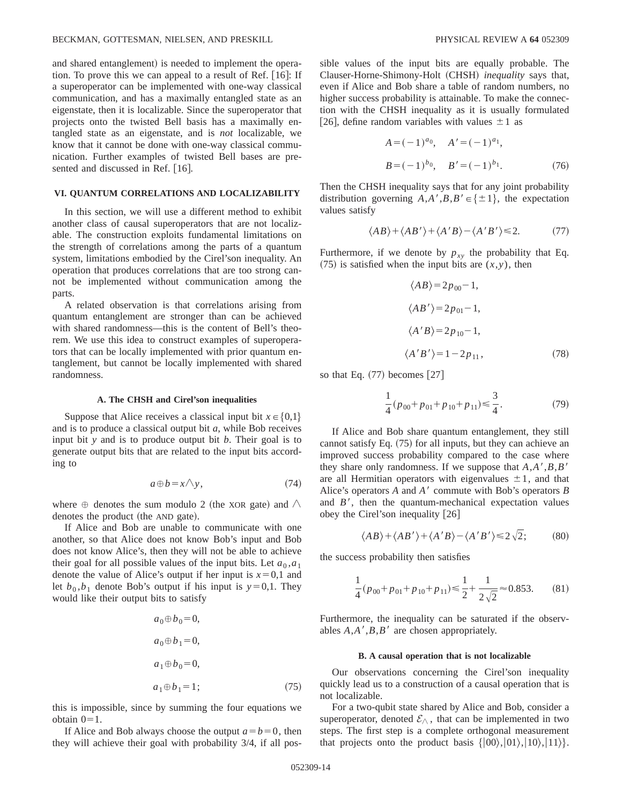and shared entanglement) is needed to implement the operation. To prove this we can appeal to a result of Ref.  $[16]$ : If a superoperator can be implemented with one-way classical communication, and has a maximally entangled state as an eigenstate, then it is localizable. Since the superoperator that projects onto the twisted Bell basis has a maximally entangled state as an eigenstate, and is *not* localizable, we know that it cannot be done with one-way classical communication. Further examples of twisted Bell bases are presented and discussed in Ref. [16].

# **VI. QUANTUM CORRELATIONS AND LOCALIZABILITY**

In this section, we will use a different method to exhibit another class of causal superoperators that are not localizable. The construction exploits fundamental limitations on the strength of correlations among the parts of a quantum system, limitations embodied by the Cirel'son inequality. An operation that produces correlations that are too strong cannot be implemented without communication among the parts.

A related observation is that correlations arising from quantum entanglement are stronger than can be achieved with shared randomness—this is the content of Bell's theorem. We use this idea to construct examples of superoperators that can be locally implemented with prior quantum entanglement, but cannot be locally implemented with shared randomness.

### **A. The CHSH and Cirel'son inequalities**

Suppose that Alice receives a classical input bit  $x \in \{0,1\}$ and is to produce a classical output bit *a*, while Bob receives input bit *y* and is to produce output bit *b*. Their goal is to generate output bits that are related to the input bits according to

$$
a \oplus b = x \wedge y,\tag{74}
$$

where  $\oplus$  denotes the sum modulo 2 (the XOR gate) and  $\wedge$ denotes the product (the AND gate).

If Alice and Bob are unable to communicate with one another, so that Alice does not know Bob's input and Bob does not know Alice's, then they will not be able to achieve their goal for all possible values of the input bits. Let  $a_0$ ,  $a_1$ denote the value of Alice's output if her input is  $x=0,1$  and let  $b_0$ ,  $b_1$  denote Bob's output if his input is  $y=0,1$ . They would like their output bits to satisfy

$$
a_0 \oplus b_0 = 0,
$$
  
\n
$$
a_0 \oplus b_1 = 0,
$$
  
\n
$$
a_1 \oplus b_0 = 0,
$$
  
\n
$$
a_1 \oplus b_1 = 1;
$$
\n(75)

this is impossible, since by summing the four equations we obtain  $0=1$ .

If Alice and Bob always choose the output  $a=b=0$ , then they will achieve their goal with probability 3/4, if all possible values of the input bits are equally probable. The Clauser-Horne-Shimony-Holt (CHSH) *inequality* says that, even if Alice and Bob share a table of random numbers, no higher success probability is attainable. To make the connection with the CHSH inequality as it is usually formulated [26], define random variables with values  $\pm 1$  as

$$
A = (-1)^{a_0}, \quad A' = (-1)^{a_1},
$$
  

$$
B = (-1)^{b_0}, \quad B' = (-1)^{b_1}.
$$
 (76)

Then the CHSH inequality says that for any joint probability distribution governing  $A, A', B, B' \in \{\pm 1\}$ , the expectation values satisfy

$$
\langle AB \rangle + \langle AB' \rangle + \langle A'B \rangle - \langle A'B' \rangle \le 2. \tag{77}
$$

Furthermore, if we denote by  $p_{xy}$  the probability that Eq.  $(75)$  is satisfied when the input bits are  $(x, y)$ , then

$$
\langle AB \rangle = 2p_{00} - 1,
$$
  
\n
$$
\langle AB' \rangle = 2p_{01} - 1,
$$
  
\n
$$
\langle A'B \rangle = 2p_{10} - 1,
$$
  
\n
$$
\langle A'B' \rangle = 1 - 2p_{11},
$$
\n(78)

so that Eq.  $(77)$  becomes  $[27]$ 

$$
\frac{1}{4}(p_{00} + p_{01} + p_{10} + p_{11}) \le \frac{3}{4}.
$$
 (79)

If Alice and Bob share quantum entanglement, they still cannot satisfy Eq.  $(75)$  for all inputs, but they can achieve an improved success probability compared to the case where they share only randomness. If we suppose that  $A, A', B, B'$ are all Hermitian operators with eigenvalues  $\pm 1$ , and that Alice's operators *A* and *A'* commute with Bob's operators *B* and  $B'$ , then the quantum-mechanical expectation values obey the Cirel'son inequality  $[26]$ 

$$
\langle AB \rangle + \langle AB' \rangle + \langle A'B \rangle - \langle A'B' \rangle \le 2\sqrt{2};\tag{80}
$$

the success probability then satisfies

$$
\frac{1}{4}(p_{00} + p_{01} + p_{10} + p_{11}) \le \frac{1}{2} + \frac{1}{2\sqrt{2}} \approx 0.853. \tag{81}
$$

Furthermore, the inequality can be saturated if the observables  $A, A', B, B'$  are chosen appropriately.

#### **B. A causal operation that is not localizable**

Our observations concerning the Cirel'son inequality quickly lead us to a construction of a causal operation that is not localizable.

For a two-qubit state shared by Alice and Bob, consider a superoperator, denoted  $\mathcal{E}_{\wedge}$ , that can be implemented in two steps. The first step is a complete orthogonal measurement that projects onto the product basis  $\{|00\rangle, |01\rangle, |10\rangle, |11\rangle\}.$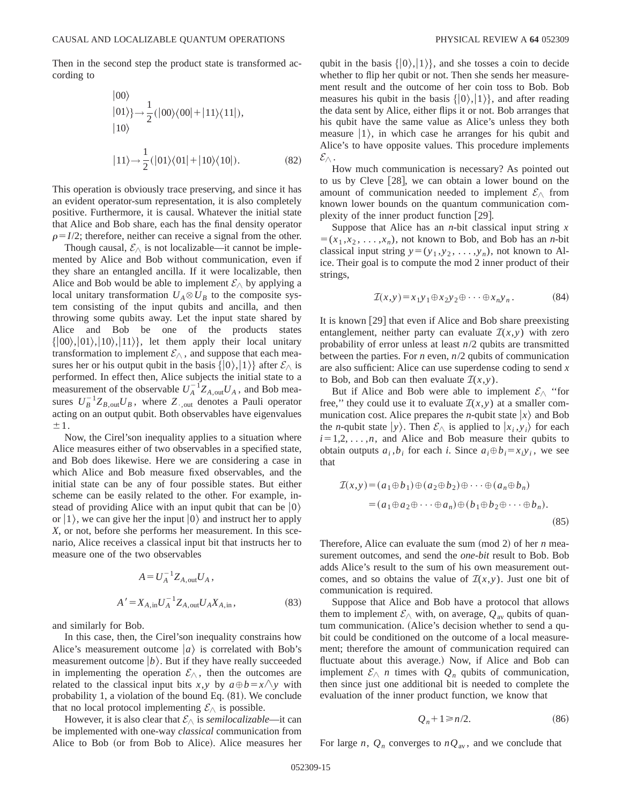Then in the second step the product state is transformed according to

$$
|00\rangle
$$
  
\n
$$
|01\rangle\rangle \rightarrow \frac{1}{2} (|00\rangle\langle00| + |11\rangle\langle11|),
$$
  
\n
$$
|10\rangle
$$
  
\n
$$
|11\rangle \rightarrow \frac{1}{2} (|01\rangle\langle01| + |10\rangle\langle10|).
$$
 (82)

This operation is obviously trace preserving, and since it has an evident operator-sum representation, it is also completely positive. Furthermore, it is causal. Whatever the initial state that Alice and Bob share, each has the final density operator  $\rho = I/2$ ; therefore, neither can receive a signal from the other.

Though causal,  $\mathcal{E}_{\wedge}$  is not localizable—it cannot be implemented by Alice and Bob without communication, even if they share an entangled ancilla. If it were localizable, then Alice and Bob would be able to implement  $\mathcal{E}_{\wedge}$  by applying a local unitary transformation  $U_A \otimes U_B$  to the composite system consisting of the input qubits and ancilla, and then throwing some qubits away. Let the input state shared by Alice and Bob be one of the products states  $\{|00\rangle, |01\rangle, |10\rangle, |11\rangle\}$ , let them apply their local unitary transformation to implement  $\mathcal{E}_{\wedge}$ , and suppose that each measures her or his output qubit in the basis  $\{|0\rangle, |1\rangle\}$  after  $\mathcal{E}_{\wedge}$  is performed. In effect then, Alice subjects the initial state to a measurement of the observable  $U_A^{-1}Z_{A,\text{out}}U_A$ , and Bob measures  $U_B^{-1}Z_{B, \text{out}}U_B$ , where  $Z_{\text{-out}}$  denotes a Pauli operator acting on an output qubit. Both observables have eigenvalues  $\pm 1$ .

Now, the Cirel'son inequality applies to a situation where Alice measures either of two observables in a specified state, and Bob does likewise. Here we are considering a case in which Alice and Bob measure fixed observables, and the initial state can be any of four possible states. But either scheme can be easily related to the other. For example, instead of providing Alice with an input qubit that can be  $|0\rangle$ or  $|1\rangle$ , we can give her the input  $|0\rangle$  and instruct her to apply *X*, or not, before she performs her measurement. In this scenario, Alice receives a classical input bit that instructs her to measure one of the two observables

$$
A = U_A^{-1} Z_{A, \text{out}} U_A ,
$$
  
\n
$$
A' = X_{A, \text{in}} U_A^{-1} Z_{A, \text{out}} U_A X_{A, \text{in}} ,
$$
\n(83)

and similarly for Bob.

In this case, then, the Cirel'son inequality constrains how Alice's measurement outcome  $|a\rangle$  is correlated with Bob's measurement outcome  $|b\rangle$ . But if they have really succeeded in implementing the operation  $\mathcal{E}_{\wedge}$ , then the outcomes are related to the classical input bits *x*,*y* by  $a \oplus b = x \land y$  with probability 1, a violation of the bound Eq.  $(81)$ . We conclude that no local protocol implementing  $\mathcal{E}_{\wedge}$  is possible.

However, it is also clear that  $\mathcal{E}_{\wedge}$  is *semilocalizable*—it can be implemented with one-way *classical* communication from Alice to Bob (or from Bob to Alice). Alice measures her qubit in the basis  $\{|0\rangle, |1\rangle\}$ , and she tosses a coin to decide whether to flip her qubit or not. Then she sends her measurement result and the outcome of her coin toss to Bob. Bob measures his qubit in the basis  $\{|0\rangle, |1\rangle\}$ , and after reading the data sent by Alice, either flips it or not. Bob arranges that his qubit have the same value as Alice's unless they both measure  $|1\rangle$ , in which case he arranges for his qubit and Alice's to have opposite values. This procedure implements  $\mathcal{E}_{\triangle}$  .

How much communication is necessary? As pointed out to us by Cleve  $[28]$ , we can obtain a lower bound on the amount of communication needed to implement  $\mathcal{E}_{\wedge}$  from known lower bounds on the quantum communication complexity of the inner product function  $[29]$ .

Suppose that Alice has an *n*-bit classical input string *x*  $=(x_1, x_2, \ldots, x_n)$ , not known to Bob, and Bob has an *n*-bit classical input string  $y=(y_1, y_2, \ldots, y_n)$ , not known to Alice. Their goal is to compute the mod 2 inner product of their strings,

$$
\mathcal{I}(x,y) = x_1 y_1 \oplus x_2 y_2 \oplus \cdots \oplus x_n y_n. \tag{84}
$$

It is known  $[29]$  that even if Alice and Bob share preexisting entanglement, neither party can evaluate  $\mathcal{I}(x,y)$  with zero probability of error unless at least *n*/2 qubits are transmitted between the parties. For *n* even, *n*/2 qubits of communication are also sufficient: Alice can use superdense coding to send *x* to Bob, and Bob can then evaluate  $\mathcal{I}(x, y)$ .

But if Alice and Bob were able to implement  $\mathcal{E}_{\wedge}$  "for free," they could use it to evaluate  $\mathcal{I}(x,y)$  at a smaller communication cost. Alice prepares the *n*-qubit state  $|x\rangle$  and Bob the *n*-qubit state  $|y\rangle$ . Then  $\mathcal{E}_{\wedge}$  is applied to  $|x_i, y_i\rangle$  for each  $i=1,2,\ldots,n$ , and Alice and Bob measure their qubits to obtain outputs  $a_i$ ,  $b_i$  for each *i*. Since  $a_i \oplus b_i = x_i y_i$ , we see that

$$
\mathcal{I}(x, y) = (a_1 \oplus b_1) \oplus (a_2 \oplus b_2) \oplus \cdots \oplus (a_n \oplus b_n)
$$
  
=  $(a_1 \oplus a_2 \oplus \cdots \oplus a_n) \oplus (b_1 \oplus b_2 \oplus \cdots \oplus b_n).$  (85)

Therefore, Alice can evaluate the sum  $(mod 2)$  of her *n* measurement outcomes, and send the *one-bit* result to Bob. Bob adds Alice's result to the sum of his own measurement outcomes, and so obtains the value of  $\mathcal{I}(x,y)$ . Just one bit of communication is required.

Suppose that Alice and Bob have a protocol that allows them to implement  $\mathcal{E}_{\wedge}$  with, on average,  $Q_{\text{av}}$  qubits of quantum communication. (Alice's decision whether to send a qubit could be conditioned on the outcome of a local measurement; therefore the amount of communication required can fluctuate about this average.) Now, if Alice and Bob can implement  $\mathcal{E}_{\wedge}$  *n* times with  $Q_n$  qubits of communication, then since just one additional bit is needed to complete the evaluation of the inner product function, we know that

$$
Q_n + 1 \ge n/2. \tag{86}
$$

For large *n*,  $Q_n$  converges to  $nQ_{av}$ , and we conclude that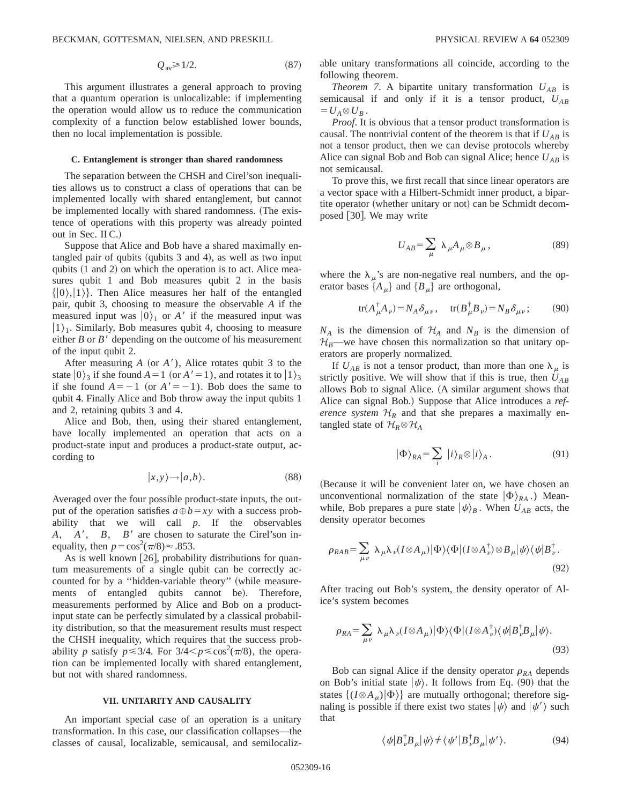$$
Q_{\rm av} \ge 1/2. \tag{87}
$$

This argument illustrates a general approach to proving that a quantum operation is unlocalizable: if implementing the operation would allow us to reduce the communication complexity of a function below established lower bounds, then no local implementation is possible.

### **C. Entanglement is stronger than shared randomness**

The separation between the CHSH and Cirel'son inequalities allows us to construct a class of operations that can be implemented locally with shared entanglement, but cannot be implemented locally with shared randomness. (The existence of operations with this property was already pointed out in Sec. II C.)

Suppose that Alice and Bob have a shared maximally entangled pair of qubits (qubits  $3$  and  $4$ ), as well as two input qubits  $(1 \text{ and } 2)$  on which the operation is to act. Alice measures qubit 1 and Bob measures qubit 2 in the basis  $\{|0\rangle, |1\rangle\}$ . Then Alice measures her half of the entangled pair, qubit 3, choosing to measure the observable *A* if the measured input was  $|0\rangle$ <sub>1</sub> or *A'* if the measured input was  $|1\rangle$ <sub>1</sub>. Similarly, Bob measures qubit 4, choosing to measure either  $B$  or  $B'$  depending on the outcome of his measurement of the input qubit 2.

After measuring  $A$  (or  $A'$ ), Alice rotates qubit 3 to the state  $|0\rangle_3$  if she found  $A=1$  (or  $A'=1$ ), and rotates it to  $|1\rangle_3$ if she found  $A=-1$  (or  $A'=-1$ ). Bob does the same to qubit 4. Finally Alice and Bob throw away the input qubits 1 and 2, retaining qubits 3 and 4.

Alice and Bob, then, using their shared entanglement, have locally implemented an operation that acts on a product-state input and produces a product-state output, according to

$$
|x,y\rangle \rightarrow |a,b\rangle. \tag{88}
$$

Averaged over the four possible product-state inputs, the output of the operation satisfies  $a \oplus b = xy$  with a success probability that we will call *p*. If the observables  $A, A', B, B'$  are chosen to saturate the Cirel'son inequality, then  $p = \cos^2(\pi/8) \approx .853$ .

As is well known  $[26]$ , probability distributions for quantum measurements of a single qubit can be correctly accounted for by a "hidden-variable theory" (while measurements of entangled qubits cannot be). Therefore, measurements performed by Alice and Bob on a productinput state can be perfectly simulated by a classical probability distribution, so that the measurement results must respect the CHSH inequality, which requires that the success probability *p* satisfy  $p \leq 3/4$ . For  $3/4 < p \leq \cos^2(\pi/8)$ , the operation can be implemented locally with shared entanglement, but not with shared randomness.

## **VII. UNITARITY AND CAUSALITY**

An important special case of an operation is a unitary transformation. In this case, our classification collapses—the classes of causal, localizable, semicausal, and semilocalizable unitary transformations all coincide, according to the following theorem.

*Theorem 7.* A bipartite unitary transformation  $U_{AB}$  is semicausal if and only if it is a tensor product,  $U_{AB}$  $= U_A \otimes U_B$ .

*Proof*. It is obvious that a tensor product transformation is causal. The nontrivial content of the theorem is that if  $U_{AB}$  is not a tensor product, then we can devise protocols whereby Alice can signal Bob and Bob can signal Alice; hence  $U_{AB}$  is not semicausal.

To prove this, we first recall that since linear operators are a vector space with a Hilbert-Schmidt inner product, a bipartite operator (whether unitary or not) can be Schmidt decomposed [30]. We may write

$$
U_{AB} = \sum_{\mu} \lambda_{\mu} A_{\mu} \otimes B_{\mu}, \qquad (89)
$$

where the  $\lambda_{\mu}$ 's are non-negative real numbers, and the operator bases  $\{A_\mu\}$  and  $\{B_\mu\}$  are orthogonal,

$$
\text{tr}(A^{\dagger}_{\mu}A_{\nu}) = N_A \delta_{\mu\nu}, \quad \text{tr}(B^{\dagger}_{\mu}B_{\nu}) = N_B \delta_{\mu\nu}; \tag{90}
$$

 $N_A$  is the dimension of  $H_A$  and  $N_B$  is the dimension of  $\mathcal{H}_B$ —we have chosen this normalization so that unitary operators are properly normalized.

If  $U_{AB}$  is not a tensor product, than more than one  $\lambda_{\mu}$  is strictly positive. We will show that if this is true, then  $U_{AB}$ allows Bob to signal Alice. (A similar argument shows that Alice can signal Bob.) Suppose that Alice introduces a *reference system*  $H_R$  and that she prepares a maximally entangled state of  $\mathcal{H}_R \otimes \mathcal{H}_A$ 

$$
|\Phi\rangle_{RA} = \sum_{i} |i\rangle_{R} \otimes |i\rangle_{A}.
$$
 (91)

(Because it will be convenient later on, we have chosen an unconventional normalization of the state  $|\Phi\rangle_{RA}$ .) Meanwhile, Bob prepares a pure state  $|\psi\rangle_B$ . When  $U_{AB}$  acts, the density operator becomes

$$
\rho_{RAB} = \sum_{\mu\nu} \lambda_{\mu} \lambda_{\nu} (I \otimes A_{\mu}) |\Phi\rangle \langle \Phi | (I \otimes A_{\nu}^{\dagger}) \otimes B_{\mu} |\psi\rangle \langle \psi | B_{\nu}^{\dagger}.
$$
\n(92)

After tracing out Bob's system, the density operator of Alice's system becomes

$$
\rho_{RA} = \sum_{\mu\nu} \lambda_{\mu} \lambda_{\nu} (I \otimes A_{\mu}) |\Phi\rangle \langle \Phi | (I \otimes A_{\nu}^{\dagger}) \langle \psi | B_{\nu}^{\dagger} B_{\mu} | \psi \rangle.
$$
\n(93)

Bob can signal Alice if the density operator  $\rho_{RA}$  depends on Bob's initial state  $|\psi\rangle$ . It follows from Eq. (90) that the states  $\{(I \otimes A_{\mu})|\Phi\rangle\}$  are mutually orthogonal; therefore signaling is possible if there exist two states  $|\psi\rangle$  and  $|\psi'\rangle$  such that

$$
\langle \psi | B_{\nu}^{\dagger} B_{\mu} | \psi \rangle \neq \langle \psi' | B_{\nu}^{\dagger} B_{\mu} | \psi' \rangle. \tag{94}
$$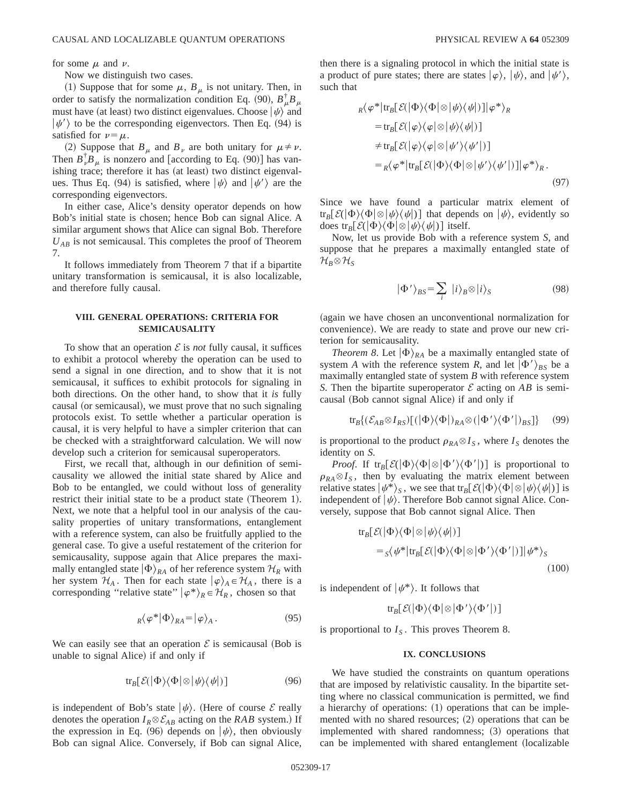for some  $\mu$  and  $\nu$ .

Now we distinguish two cases.

(1) Suppose that for some  $\mu$ ,  $B_\mu$  is not unitary. Then, in order to satisfy the normalization condition Eq. (90),  $B^{\dagger}_{\mu}B_{\mu}$ must have (at least) two distinct eigenvalues. Choose  $|\psi\rangle$  and  $|\psi'\rangle$  to be the corresponding eigenvectors. Then Eq. (94) is satisfied for  $\nu = \mu$ .

(2) Suppose that  $B_\mu$  and  $B_\nu$  are both unitary for  $\mu \neq \nu$ . Then  $B^{\dagger}_{\nu}B_{\mu}$  is nonzero and [according to Eq. (90)] has vanishing trace; therefore it has (at least) two distinct eigenvalues. Thus Eq. (94) is satisfied, where  $|\psi\rangle$  and  $|\psi'\rangle$  are the corresponding eigenvectors.

In either case, Alice's density operator depends on how Bob's initial state is chosen; hence Bob can signal Alice. A similar argument shows that Alice can signal Bob. Therefore  $U_{AB}$  is not semicausal. This completes the proof of Theorem 7.

It follows immediately from Theorem 7 that if a bipartite unitary transformation is semicausal, it is also localizable, and therefore fully causal.

# **VIII. GENERAL OPERATIONS: CRITERIA FOR SEMICAUSALITY**

To show that an operation  $\mathcal E$  is *not* fully causal, it suffices to exhibit a protocol whereby the operation can be used to send a signal in one direction, and to show that it is not semicausal, it suffices to exhibit protocols for signaling in both directions. On the other hand, to show that it *is* fully causal (or semicausal), we must prove that no such signaling protocols exist. To settle whether a particular operation is causal, it is very helpful to have a simpler criterion that can be checked with a straightforward calculation. We will now develop such a criterion for semicausal superoperators.

First, we recall that, although in our definition of semicausality we allowed the initial state shared by Alice and Bob to be entangled, we could without loss of generality restrict their initial state to be a product state (Theorem 1). Next, we note that a helpful tool in our analysis of the causality properties of unitary transformations, entanglement with a reference system, can also be fruitfully applied to the general case. To give a useful restatement of the criterion for semicausality, suppose again that Alice prepares the maximally entangled state  $|\Phi\rangle_{RA}$  of her reference system  $\mathcal{H}_R$  with her system  $\mathcal{H}_A$ . Then for each state  $|\varphi\rangle_A \in \mathcal{H}_A$ , there is a corresponding "relative state"  $|\varphi^*\rangle_R \in \mathcal{H}_R$ , chosen so that

$$
R\langle \varphi^*|\Phi\rangle_{RA} = |\varphi\rangle_A. \tag{95}
$$

We can easily see that an operation  $\mathcal E$  is semicausal (Bob is unable to signal Alice) if and only if

$$
\text{tr}_B[\mathcal{E}(|\Phi\rangle\langle\Phi|\otimes|\psi\rangle\langle\psi|)] \tag{96}
$$

is independent of Bob's state  $|\psi\rangle$ . (Here of course E really denotes the operation  $I_R \otimes \mathcal{E}_{AB}$  acting on the *RAB* system.) If the expression in Eq. (96) depends on  $|\psi\rangle$ , then obviously Bob can signal Alice. Conversely, if Bob can signal Alice, then there is a signaling protocol in which the initial state is a product of pure states; there are states  $|\varphi\rangle$ ,  $|\psi\rangle$ , and  $|\psi'\rangle$ , such that

$$
{}_{R}\langle\varphi^{*}|{\rm tr}_{B}[\mathcal{E}(|\Phi\rangle\langle\Phi|\otimes|\psi\rangle\langle\psi|)]|\varphi^{*}\rangle_{R}
$$
  
\n
$$
={\rm tr}_{B}[\mathcal{E}(|\varphi\rangle\langle\varphi|\otimes|\psi\rangle\langle\psi|)]
$$
  
\n
$$
\neq {\rm tr}_{B}[\mathcal{E}(|\varphi\rangle\langle\varphi|\otimes|\psi'\rangle\langle\psi'|)]
$$
  
\n
$$
= {}_{R}\langle\varphi^{*}|{\rm tr}_{B}[\mathcal{E}(|\Phi\rangle\langle\Phi|\otimes|\psi'\rangle\langle\psi'|)]|\varphi^{*}\rangle_{R}.
$$
  
\n(97)

Since we have found a particular matrix element of  $tr_B\left[\mathcal{E}(\Phi\setminus \Phi|\otimes |\psi\rangle \langle \psi|)\right]$  that depends on  $|\psi\rangle$ , evidently so does tr<sub>*B*</sub> $[\mathcal{E}(\vert \Phi \rangle \langle \Phi \vert \otimes \vert \psi \rangle \langle \psi \vert)]$  itself.

Now, let us provide Bob with a reference system *S*, and suppose that he prepares a maximally entangled state of  $\mathcal{H}_B\otimes \mathcal{H}_S$ 

$$
|\Phi'\rangle_{BS} = \sum_{i} |i\rangle_{B} \otimes |i\rangle_{S} \tag{98}
$$

(again we have chosen an unconventional normalization for convenience). We are ready to state and prove our new criterion for semicausality.

*Theorem 8*. Let  $|\Phi\rangle_{RA}$  be a maximally entangled state of system *A* with the reference system *R*, and let  $|\Phi'\rangle_{BS}$  be a maximally entangled state of system *B* with reference system *S*. Then the bipartite superoperator  $\mathcal E$  acting on *AB* is semicausal (Bob cannot signal Alice) if and only if

tr<sub>B</sub>{
$$
(\mathcal{E}_{AB} \otimes I_{RS})[(|\Phi\rangle\langle\Phi|)_{RA} \otimes (|\Phi'\rangle\langle\Phi'|)_{BS}]
$$
} (99)

is proportional to the product  $\rho_{RA} \otimes I_S$ , where  $I_S$  denotes the identity on *S*.

*Proof.* If  $tr_B[\mathcal{E}(\Phi \setminus \Phi | \otimes | \Phi' \setminus \Phi' |)]$  is proportional to  $\rho_{RA} \otimes I_S$ , then by evaluating the matrix element between relative states  $|\psi^*\rangle_s$ , we see that tr<sub>*B*</sub> $[\mathcal{E}(|\Phi\rangle \langle \Phi | \otimes |\psi \rangle \langle \psi |)]$  is independent of  $|\psi\rangle$ . Therefore Bob cannot signal Alice. Conversely, suppose that Bob cannot signal Alice. Then

$$
tr_B[\mathcal{E}(|\Phi\rangle\langle\Phi|\otimes|\psi\rangle\langle\psi|)]
$$
  
=  $_S\langle\psi^*|\text{tr}_B[\mathcal{E}(|\Phi\rangle\langle\Phi|\otimes|\Phi'\rangle\langle\Phi'|)]|\psi^*\rangle_S$  (100)

is independent of  $|\psi^*\rangle$ . It follows that

$$
\text{tr}_B[\mathcal{E}(|\Phi\rangle\langle\Phi|\otimes|\Phi'\rangle\langle\Phi'|)]
$$

is proportional to  $I<sub>S</sub>$ . This proves Theorem 8.

## **IX. CONCLUSIONS**

We have studied the constraints on quantum operations that are imposed by relativistic causality. In the bipartite setting where no classical communication is permitted, we find a hierarchy of operations:  $(1)$  operations that can be implemented with no shared resources;  $(2)$  operations that can be implemented with shared randomness;  $(3)$  operations that can be implemented with shared entanglement (localizable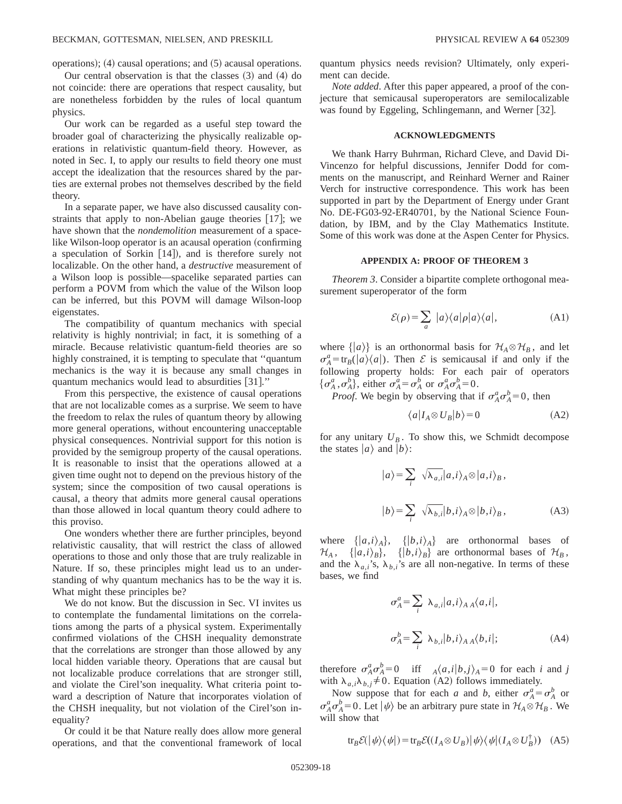operations);  $(4)$  causal operations; and  $(5)$  acausal operations.

Our central observation is that the classes  $(3)$  and  $(4)$  do not coincide: there are operations that respect causality, but are nonetheless forbidden by the rules of local quantum physics.

Our work can be regarded as a useful step toward the broader goal of characterizing the physically realizable operations in relativistic quantum-field theory. However, as noted in Sec. I, to apply our results to field theory one must accept the idealization that the resources shared by the parties are external probes not themselves described by the field theory.

In a separate paper, we have also discussed causality constraints that apply to non-Abelian gauge theories  $[17]$ ; we have shown that the *nondemolition* measurement of a spacelike Wilson-loop operator is an acausal operation (confirming a speculation of Sorkin  $[14]$ , and is therefore surely not localizable. On the other hand, a *destructive* measurement of a Wilson loop is possible—spacelike separated parties can perform a POVM from which the value of the Wilson loop can be inferred, but this POVM will damage Wilson-loop eigenstates.

The compatibility of quantum mechanics with special relativity is highly nontrivial; in fact, it is something of a miracle. Because relativistic quantum-field theories are so highly constrained, it is tempting to speculate that ''quantum mechanics is the way it is because any small changes in quantum mechanics would lead to absurdities  $[31]$ ."

From this perspective, the existence of causal operations that are not localizable comes as a surprise. We seem to have the freedom to relax the rules of quantum theory by allowing more general operations, without encountering unacceptable physical consequences. Nontrivial support for this notion is provided by the semigroup property of the causal operations. It is reasonable to insist that the operations allowed at a given time ought not to depend on the previous history of the system; since the composition of two causal operations is causal, a theory that admits more general causal operations than those allowed in local quantum theory could adhere to this proviso.

One wonders whether there are further principles, beyond relativistic causality, that will restrict the class of allowed operations to those and only those that are truly realizable in Nature. If so, these principles might lead us to an understanding of why quantum mechanics has to be the way it is. What might these principles be?

We do not know. But the discussion in Sec. VI invites us to contemplate the fundamental limitations on the correlations among the parts of a physical system. Experimentally confirmed violations of the CHSH inequality demonstrate that the correlations are stronger than those allowed by any local hidden variable theory. Operations that are causal but not localizable produce correlations that are stronger still, and violate the Cirel'son inequality. What criteria point toward a description of Nature that incorporates violation of the CHSH inequality, but not violation of the Cirel'son inequality?

Or could it be that Nature really does allow more general operations, and that the conventional framework of local quantum physics needs revision? Ultimately, only experiment can decide.

*Note added*. After this paper appeared, a proof of the conjecture that semicausal superoperators are semilocalizable was found by Eggeling, Schlingemann, and Werner [32].

### **ACKNOWLEDGMENTS**

We thank Harry Buhrman, Richard Cleve, and David Di-Vincenzo for helpful discussions, Jennifer Dodd for comments on the manuscript, and Reinhard Werner and Rainer Verch for instructive correspondence. This work has been supported in part by the Department of Energy under Grant No. DE-FG03-92-ER40701, by the National Science Foundation, by IBM, and by the Clay Mathematics Institute. Some of this work was done at the Aspen Center for Physics.

## **APPENDIX A: PROOF OF THEOREM 3**

*Theorem 3*. Consider a bipartite complete orthogonal measurement superoperator of the form

$$
\mathcal{E}(\rho) = \sum_{a} |a\rangle\langle a|\rho|a\rangle\langle a|,\tag{A1}
$$

where  $\{ |a\rangle \}$  is an orthonormal basis for  $\mathcal{H}_A \otimes \mathcal{H}_B$ , and let  $\sigma_A^a = \text{tr}_B(|a\rangle\langle a|)$ . Then  $\mathcal E$  is semicausal if and only if the following property holds: For each pair of operators  $\{\sigma_A^a, \sigma_A^b\}$ , either  $\sigma_A^a = \sigma_A^b$  or  $\sigma_A^a \sigma_A^b = 0$ .

*Proof.* We begin by observing that if  $\sigma_A^a \sigma_A^b = 0$ , then

$$
\langle a | I_A \otimes U_B | b \rangle = 0 \tag{A2}
$$

for any unitary  $U_B$ . To show this, we Schmidt decompose the states  $|a\rangle$  and  $|b\rangle$ :

$$
|a\rangle = \sum_{i} \sqrt{\lambda_{a,i}} |a,i\rangle_A \otimes |a,i\rangle_B,
$$
  

$$
|b\rangle = \sum_{i} \sqrt{\lambda_{b,i}} |b,i\rangle_A \otimes |b,i\rangle_B,
$$
 (A3)

where  $\{|a,i\rangle_A\}$ ,  $\{|b,i\rangle_A\}$  are orthonormal bases of  $\mathcal{H}_A$ , { $|a,i\rangle_B$ }, { $|b,i\rangle_B$ } are orthonormal bases of  $\mathcal{H}_B$ , and the  $\lambda_{a,i}$ 's,  $\lambda_{b,i}$ 's are all non-negative. In terms of these bases, we find

$$
\sigma_A^a = \sum_i \lambda_{a,i} |a,i\rangle_A{}_A \langle a,i|,
$$
  

$$
\sigma_A^b = \sum_i \lambda_{b,i} |b,i\rangle_A{}_A \langle b,i|;
$$
 (A4)

therefore  $\sigma_A^a \sigma_A^b = 0$  iff  $A\langle a,i|b,j\rangle_A = 0$  for each *i* and *j* with  $\lambda_{a,i} \lambda_{b,j} \neq 0$ . Equation (A2) follows immediately.

Now suppose that for each *a* and *b*, either  $\sigma_A^a = \sigma_A^b$  or  $\sigma_A^a \sigma_A^b = 0$ . Let  $|\psi\rangle$  be an arbitrary pure state in  $\mathcal{H}_A \otimes \mathcal{H}_B$ . We will show that

$$
\text{tr}_B \mathcal{E}(|\psi\rangle\langle\psi|) = \text{tr}_B \mathcal{E}((I_A \otimes U_B) | \psi\rangle\langle\psi| (I_A \otimes U_B^{\dagger})) \quad (A5)
$$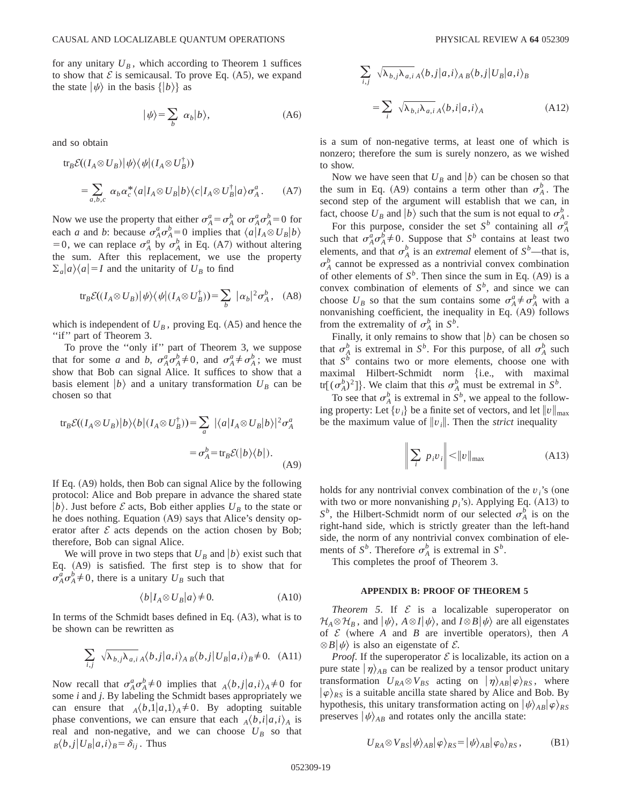for any unitary  $U_B$ , which according to Theorem 1 suffices to show that  $\mathcal E$  is semicausal. To prove Eq. (A5), we expand the state  $|\psi\rangle$  in the basis  $\{|b\rangle\}$  as

$$
|\psi\rangle = \sum_{b} \alpha_{b} |b\rangle, \tag{A6}
$$

and so obtain

$$
\text{tr}_B \mathcal{E}((I_A \otimes U_B) | \psi \rangle \langle \psi | (I_A \otimes U_B^{\dagger}))
$$
  
= 
$$
\sum_{a,b,c} \alpha_b \alpha_c^* \langle a | I_A \otimes U_B | b \rangle \langle c | I_A \otimes U_B^{\dagger} | a \rangle \sigma_A^a.
$$
 (A7)

Now we use the property that either  $\sigma_A^a = \sigma_A^b$  or  $\sigma_A^a \sigma_A^b = 0$  for each *a* and *b*: because  $\sigma_A^a \sigma_A^b = 0$  implies that  $\langle a | I_A \otimes U_B | b \rangle$ = 0, we can replace  $\sigma_A^a$  by  $\sigma_A^b$  in Eq. (A7) without altering the sum. After this replacement, we use the property  $\sum_{a} |a\rangle\langle a| = I$  and the unitarity of  $U_B$  to find

$$
\text{tr}_B \mathcal{E}((I_A \otimes U_B) | \psi \rangle \langle \psi | (I_A \otimes U_B^{\dagger})) = \sum_b | \alpha_b |^2 \sigma_A^b, \quad (A8)
$$

which is independent of  $U_B$ , proving Eq.  $(A5)$  and hence the "if" part of Theorem 3.

To prove the ''only if'' part of Theorem 3, we suppose that for some *a* and *b*,  $\sigma_A^a \sigma_A^b \neq 0$ , and  $\sigma_A^a \neq \sigma_A^b$ ; we must show that Bob can signal Alice. It suffices to show that a basis element  $|b\rangle$  and a unitary transformation  $U_B$  can be chosen so that

$$
tr_B \mathcal{E}((I_A \otimes U_B)|b\rangle\langle b|(I_A \otimes U_B^{\dagger})) = \sum_a |\langle a|I_A \otimes U_B|b\rangle|^2 \sigma_A^a
$$
  

$$
= \sigma_A^b = tr_B \mathcal{E}(|b\rangle\langle b|).
$$
 (A9)

If Eq.  $(A9)$  holds, then Bob can signal Alice by the following protocol: Alice and Bob prepare in advance the shared state  $|b\rangle$ . Just before *E* acts, Bob either applies  $U_B$  to the state or he does nothing. Equation (A9) says that Alice's density operator after  $\mathcal E$  acts depends on the action chosen by Bob; therefore, Bob can signal Alice.

We will prove in two steps that  $U_B$  and  $|b\rangle$  exist such that Eq.  $(A9)$  is satisfied. The first step is to show that for  $\sigma_A^a \sigma_A^b \neq 0$ , there is a unitary  $U_B$  such that

$$
\langle b|I_A \otimes U_B|a\rangle \neq 0. \tag{A10}
$$

In terms of the Schmidt bases defined in Eq.  $(A3)$ , what is to be shown can be rewritten as

$$
\sum_{i,j} \sqrt{\lambda_{b,j}\lambda_{a,i}} \, A \langle b,j | a,i \rangle_A \, B \langle b,j | U_B | a,i \rangle_B \neq 0. \quad (A11)
$$

Now recall that  $\sigma_A^a \sigma_A^b \neq 0$  implies that  $_A \langle b,j | a,i \rangle_A \neq 0$  for some *i* and *j*. By labeling the Schmidt bases appropriately we can ensure that  $_A \langle b, 1 | a, 1 \rangle_A \neq 0$ . By adopting suitable phase conventions, we can ensure that each  $_A\langle b,i|a,i\rangle_A$  is real and non-negative, and we can choose  $U_B$  so that  $B_{B}^{\prime}(b, j|U_{B}|a, i)_{B} = \delta_{ij}$ . Thus

$$
\sum_{i,j} \sqrt{\lambda_{b,j}\lambda_{a,i}}_A \langle b,j|a,i\rangle_A{}_B \langle b,j|U_B|a,i\rangle_B
$$

$$
= \sum_i \sqrt{\lambda_{b,i}\lambda_{a,i}}_A \langle b,i|a,i\rangle_A
$$
(A12)

is a sum of non-negative terms, at least one of which is nonzero; therefore the sum is surely nonzero, as we wished to show.

Now we have seen that  $U_B$  and  $|b\rangle$  can be chosen so that the sum in Eq. (A9) contains a term other than  $\sigma_A^b$ . The second step of the argument will establish that we can, in fact, choose  $U_B$  and  $|b\rangle$  such that the sum is not equal to  $\sigma_A^b$ .

For this purpose, consider the set  $S^b$  containing all  $\sigma_A^a$ such that  $\sigma_A^a \sigma_A^b \neq 0$ . Suppose that  $S^b$  contains at least two elements, and that  $\sigma_A^b$  is an *extremal* element of  $S^b$ —that is,  $\sigma_A^b$  cannot be expressed as a nontrivial convex combination of other elements of  $S^b$ . Then since the sum in Eq.  $(A9)$  is a convex combination of elements of  $S^b$ , and since we can choose  $U_B$  so that the sum contains some  $\sigma_A^a \neq \sigma_A^b$  with a nonvanishing coefficient, the inequality in Eq.  $(A9)$  follows from the extremality of  $\sigma_A^b$  in  $S^b$ .

Finally, it only remains to show that  $|b\rangle$  can be chosen so that  $\sigma_A^b$  is extremal in  $S^b$ . For this purpose, of all  $\sigma_A^b$  such that  $S^b$  contains two or more elements, choose one with maximal Hilbert-Schmidt norm {i.e., with maximal tr[ $(\sigma_A^b)^2$ ]}. We claim that this  $\sigma_A^b$  must be extremal in  $S^b$ .

To see that  $\sigma_A^b$  is extremal in  $S^b$ , we appeal to the following property: Let  $\{v_i\}$  be a finite set of vectors, and let  $\|v\|_{\text{max}}$ be the maximum value of  $\|v_i\|$ . Then the *strict* inequality

$$
\left\| \sum_{i} p_{i} v_{i} \right\| < \left\| v \right\|_{\max} \tag{A13}
$$

holds for any nontrivial convex combination of the  $v_i$ 's (one with two or more nonvanishing  $p_i$ 's). Applying Eq. (A13) to  $S^b$ , the Hilbert-Schmidt norm of our selected  $\sigma_A^b$  is on the right-hand side, which is strictly greater than the left-hand side, the norm of any nontrivial convex combination of elements of  $S^b$ . Therefore  $\sigma_A^b$  is extremal in  $S^b$ .

This completes the proof of Theorem 3.

## **APPENDIX B: PROOF OF THEOREM 5**

*Theorem 5.* If  $\mathcal E$  is a localizable superoperator on  $\mathcal{H}_A \otimes \mathcal{H}_B$ , and  $|\psi\rangle$ ,  $A \otimes I|\psi\rangle$ , and  $I \otimes B|\psi\rangle$  are all eigenstates of  $\mathcal E$  (where  $A$  and  $B$  are invertible operators), then  $A$  $\otimes$  *B* $|\psi\rangle$  is also an eigenstate of *E*.

*Proof.* If the superoperator  $\mathcal E$  is localizable, its action on a pure state  $|\eta\rangle_{AB}$  can be realized by a tensor product unitary transformation  $U_{RA} \otimes V_{BS}$  acting on  $|\eta\rangle_{AB}|\varphi\rangle_{RS}$ , where  $|\varphi\rangle_{RS}$  is a suitable ancilla state shared by Alice and Bob. By hypothesis, this unitary transformation acting on  $|\psi\rangle_{AB}|\varphi\rangle_{RS}$ preserves  $|\psi\rangle_{AB}$  and rotates only the ancilla state:

$$
U_{RA} \otimes V_{BS} |\psi\rangle_{AB} |\varphi\rangle_{RS} = |\psi\rangle_{AB} |\varphi_0\rangle_{RS}, \tag{B1}
$$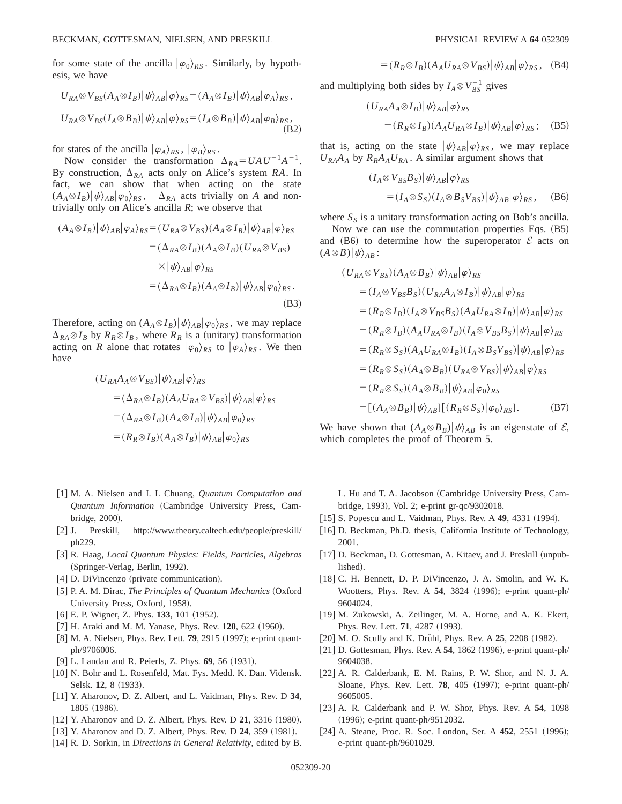for some state of the ancilla  $|\varphi_0\rangle_{RS}$ . Similarly, by hypothesis, we have

$$
U_{RA} \otimes V_{BS}(A_A \otimes I_B) |\psi\rangle_{AB} |\varphi\rangle_{RS} = (A_A \otimes I_B) |\psi\rangle_{AB} |\varphi_A\rangle_{RS},
$$
  
\n
$$
U_{RA} \otimes V_{BS}(I_A \otimes B_B) |\psi\rangle_{AB} |\varphi\rangle_{RS} = (I_A \otimes B_B) |\psi\rangle_{AB} |\varphi_B\rangle_{RS},
$$
\n(B2)

for states of the ancilla  $|\varphi_A\rangle_{RS}$ ,  $|\varphi_B\rangle_{RS}$ .

Now consider the transformation  $\Delta_{RA} = U A U^{-1} A^{-1}$ . By construction,  $\Delta_{RA}$  acts only on Alice's system *RA*. In fact, we can show that when acting on the state  $(A_A \otimes I_B)|\psi\rangle_{AB}|\varphi_0\rangle_{RS}$ ,  $\Delta_{RA}$  acts trivially on *A* and nontrivially only on Alice's ancilla *R*; we observe that

$$
(A_A \otimes I_B) |\psi\rangle_{AB} |\varphi_A\rangle_{RS} = (U_{RA} \otimes V_{BS})(A_A \otimes I_B) |\psi\rangle_{AB} |\varphi\rangle_{RS}
$$
  

$$
= (\Delta_{RA} \otimes I_B)(A_A \otimes I_B)(U_{RA} \otimes V_{BS})
$$
  

$$
\times |\psi\rangle_{AB} |\varphi\rangle_{RS}
$$
  

$$
= (\Delta_{RA} \otimes I_B)(A_A \otimes I_B) |\psi\rangle_{AB} |\varphi_0\rangle_{RS}.
$$
  
(B3)

Therefore, acting on  $(A_A \otimes I_B)|\psi\rangle_{AB}|\varphi_0\rangle_{RS}$ , we may replace  $\Delta_{RA} \otimes I_B$  by  $R_R \otimes I_B$ , where  $R_R$  is a (unitary) transformation acting on *R* alone that rotates  $|\varphi_0\rangle_{RS}$  to  $|\varphi_A\rangle_{RS}$ . We then have

$$
\begin{aligned} (U_{RA}A_A \otimes V_{BS})|\psi\rangle_{AB}|\varphi\rangle_{RS} \\ &= (\Delta_{RA} \otimes I_B)(A_A U_{RA} \otimes V_{BS})|\psi\rangle_{AB}|\varphi\rangle_{RS} \\ &= (\Delta_{RA} \otimes I_B)(A_A \otimes I_B)|\psi\rangle_{AB}|\varphi_0\rangle_{RS} \\ &= (R_R \otimes I_B)(A_A \otimes I_B)|\psi\rangle_{AB}|\varphi_0\rangle_{RS} \end{aligned}
$$

- [1] M. A. Nielsen and I. L Chuang, *Quantum Computation and Quantum Information* ~Cambridge University Press, Cambridge, 2000).
- [2] J. Preskill, http://www.theory.caltech.edu/people/preskill/ ph229.
- @3# R. Haag, *Local Quantum Physics: Fields, Particles, Algebras* (Springer-Verlag, Berlin, 1992).
- [4] D. DiVincenzo (private communication).
- [5] P. A. M. Dirac, *The Principles of Quantum Mechanics* (Oxford University Press, Oxford, 1958).
- $[6]$  E. P. Wigner, Z. Phys. **133**, 101 (1952).
- [7] H. Araki and M. M. Yanase, Phys. Rev. 120, 622 (1960).
- [8] M. A. Nielsen, Phys. Rev. Lett. **79**, 2915 (1997); e-print quantph/9706006.
- [9] L. Landau and R. Peierls, Z. Phys. **69**, 56 (1931).
- [10] N. Bohr and L. Rosenfeld, Mat. Fys. Medd. K. Dan. Vidensk. Selsk. **12**, 8 (1933).
- [11] Y. Aharonov, D. Z. Albert, and L. Vaidman, Phys. Rev. D 34, 1805 (1986).
- [12] Y. Aharonov and D. Z. Albert, Phys. Rev. D **21**, 3316 (1980).
- [13] Y. Aharonov and D. Z. Albert, Phys. Rev. D **24**, 359 (1981).
- [14] R. D. Sorkin, in *Directions in General Relativity*, edited by B.

$$
=(R_R \otimes I_B)(A_A U_{RA} \otimes V_{BS})|\psi\rangle_{AB}|\varphi\rangle_{RS}, \quad (B4)
$$

and multiplying both sides by  $I_A \otimes V_{BS}^{-1}$  gives

$$
\begin{aligned} (U_{RA}A_A \otimes I_B) |\psi\rangle_{AB} |\varphi\rangle_{RS} \\ = (R_R \otimes I_B)(A_A U_{RA} \otimes I_B) |\psi\rangle_{AB} |\varphi\rangle_{RS}; \end{aligned} \tag{B5}
$$

that is, acting on the state  $|\psi\rangle_{AB}|\varphi\rangle_{RS}$ , we may replace  $U_{RA}A_A$  by  $R_R A_A U_{RA}$ . A similar argument shows that

$$
\begin{aligned} (I_A \otimes V_{BS} B_S) |\psi\rangle_{AB} |\varphi\rangle_{RS} \\ &= (I_A \otimes S_S)(I_A \otimes B_S V_{BS}) |\psi\rangle_{AB} |\varphi\rangle_{RS}, \end{aligned} \tag{B6}
$$

where  $S_S$  is a unitary transformation acting on Bob's ancilla.

Now we can use the commutation properties Eqs. (B5) and  $(B6)$  to determine how the superoperator  $\mathcal E$  acts on  $(A \otimes B)|\psi\rangle_{AB}$ :

$$
(U_{RA} \otimes V_{BS})(A_A \otimes B_B)|\psi\rangle_{AB}|\varphi\rangle_{RS}
$$
  
\n
$$
= (I_A \otimes V_{BS}B_S)(U_{RA}A_A \otimes I_B)|\psi\rangle_{AB}|\varphi\rangle_{RS}
$$
  
\n
$$
= (R_R \otimes I_B)(I_A \otimes V_{BS}B_S)(A_A U_{RA} \otimes I_B)|\psi\rangle_{AB}|\varphi\rangle_{RS}
$$
  
\n
$$
= (R_R \otimes I_B)(A_A U_{RA} \otimes I_B)(I_A \otimes V_{BS}B_S)|\psi\rangle_{AB}|\varphi\rangle_{RS}
$$
  
\n
$$
= (R_R \otimes S_S)(A_A U_{RA} \otimes I_B)(I_A \otimes B_S V_{BS})|\psi\rangle_{AB}|\varphi\rangle_{RS}
$$
  
\n
$$
= (R_R \otimes S_S)(A_A \otimes B_B)(U_{RA} \otimes V_{BS})|\psi\rangle_{AB}|\varphi\rangle_{RS}
$$
  
\n
$$
= (R_R \otimes S_S)(A_A \otimes B_B)|\psi\rangle_{AB}|\varphi_0\rangle_{RS}
$$
  
\n
$$
= [(A_A \otimes B_B)|\psi\rangle_{AB}][(R_R \otimes S_S)|\varphi_0\rangle_{RS}].
$$
 (B7)

We have shown that  $(A_A \otimes B_B)|\psi\rangle_{AB}$  is an eigenstate of  $\mathcal{E}$ , which completes the proof of Theorem 5.

- L. Hu and T. A. Jacobson (Cambridge University Press, Cambridge, 1993), Vol. 2; e-print gr-qc/9302018.
- [15] S. Popescu and L. Vaidman, Phys. Rev. A 49, 4331 (1994).
- [16] D. Beckman, Ph.D. thesis, California Institute of Technology, 2001.
- [17] D. Beckman, D. Gottesman, A. Kitaev, and J. Preskill (unpublished).
- [18] C. H. Bennett, D. P. DiVincenzo, J. A. Smolin, and W. K. Wootters, Phys. Rev. A 54, 3824 (1996); e-print quant-ph/ 9604024.
- [19] M. Zukowski, A. Zeilinger, M. A. Horne, and A. K. Ekert, Phys. Rev. Lett. **71**, 4287 (1993).
- [20] M. O. Scully and K. Drühl, Phys. Rev. A **25**, 2208 (1982).
- $[21]$  D. Gottesman, Phys. Rev. A  $54$ , 1862  $(1996)$ , e-print quant-ph/ 9604038.
- [22] A. R. Calderbank, E. M. Rains, P. W. Shor, and N. J. A. Sloane, Phys. Rev. Lett. **78**, 405 (1997); e-print quant-ph/ 9605005.
- [23] A. R. Calderbank and P. W. Shor, Phys. Rev. A 54, 1098 (1996); e-print quant-ph/9512032.
- [24] A. Steane, Proc. R. Soc. London, Ser. A **452**, 2551 (1996); e-print quant-ph/9601029.